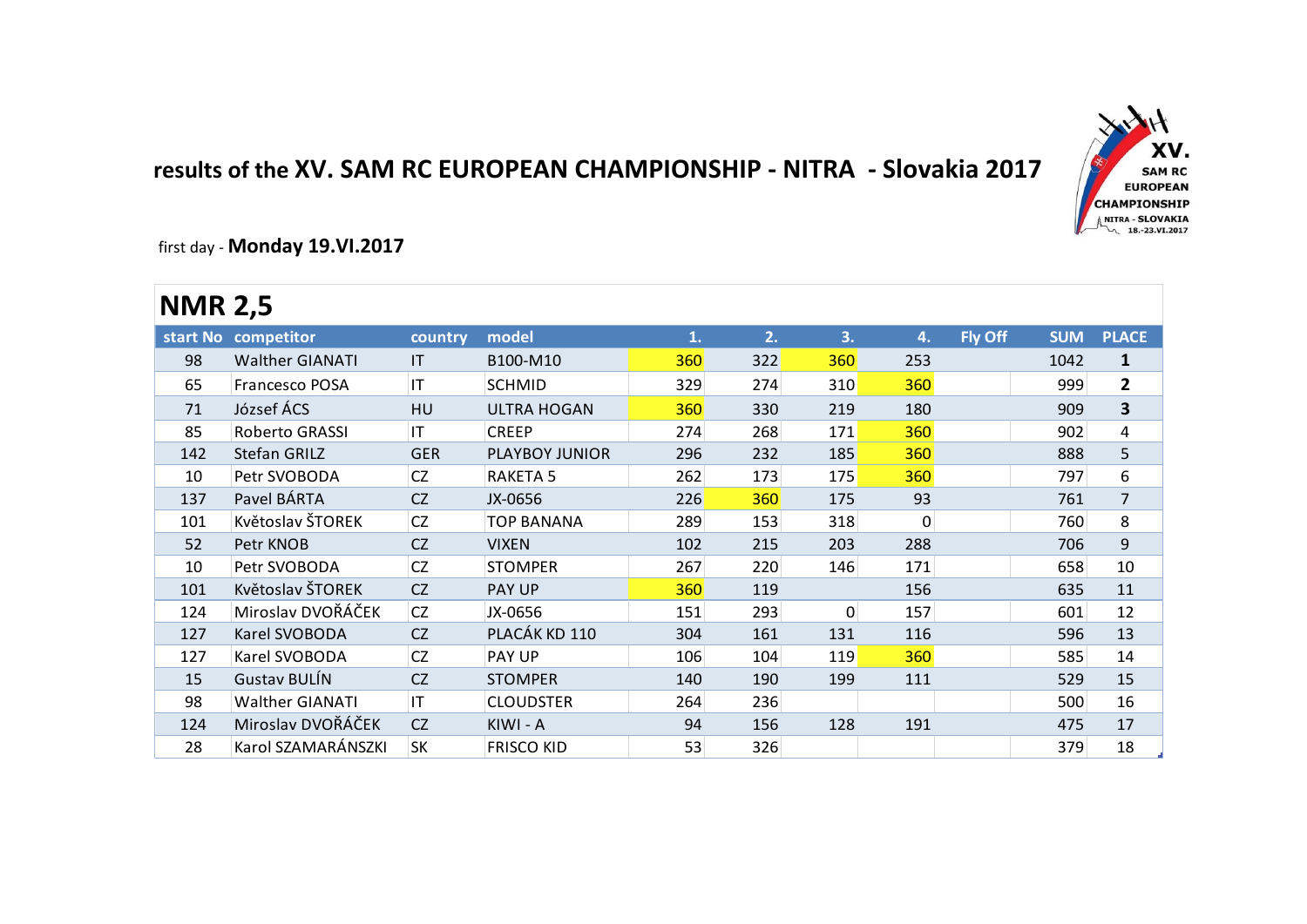## **results of the XV. SAM RC EUROPEAN CHAMPIONSHIP - NITRA - Slovakia 2017**



first day - **Monday 19.VI.2017**

| .              |                        |            |                    |     |     |              |          |                |            |                |
|----------------|------------------------|------------|--------------------|-----|-----|--------------|----------|----------------|------------|----------------|
| <b>NMR 2,5</b> |                        |            |                    |     |     |              |          |                |            |                |
|                | start No competitor    | country    | model              | 1.  | 2.  | 3.           | 4.       | <b>Fly Off</b> | <b>SUM</b> | <b>PLACE</b>   |
| 98             | <b>Walther GIANATI</b> | <b>IT</b>  | B100-M10           | 360 | 322 | 360          | 253      |                | 1042       | $\mathbf{1}$   |
| 65             | Francesco POSA         | IT         | <b>SCHMID</b>      | 329 | 274 | 310          | 360      |                | 999        | $\overline{2}$ |
| 71             | József ÁCS             | <b>HU</b>  | <b>ULTRA HOGAN</b> | 360 | 330 | 219          | 180      |                | 909        | 3              |
| 85             | Roberto GRASSI         | IT         | <b>CREEP</b>       | 274 | 268 | 171          | 360      |                | 902        | 4              |
| 142            | <b>Stefan GRILZ</b>    | <b>GER</b> | PLAYBOY JUNIOR     | 296 | 232 | 185          | 360      |                | 888        | 5              |
| 10             | Petr SVOBODA           | CZ         | <b>RAKETA 5</b>    | 262 | 173 | 175          | 360      |                | 797        | 6              |
| 137            | Pavel BÁRTA            | <b>CZ</b>  | JX-0656            | 226 | 360 | 175          | 93       |                | 761        | $\overline{7}$ |
| 101            | Květoslav ŠTOREK       | <b>CZ</b>  | <b>TOP BANANA</b>  | 289 | 153 | 318          | $\Omega$ |                | 760        | 8              |
| 52             | Petr KNOB              | <b>CZ</b>  | <b>VIXEN</b>       | 102 | 215 | 203          | 288      |                | 706        | 9              |
| 10             | Petr SVOBODA           | CZ         | <b>STOMPER</b>     | 267 | 220 | 146          | 171      |                | 658        | 10             |
| 101            | Květoslav ŠTOREK       | <b>CZ</b>  | PAY UP             | 360 | 119 |              | 156      |                | 635        | 11             |
| 124            | Miroslav DVOŘÁČEK      | <b>CZ</b>  | JX-0656            | 151 | 293 | $\mathbf{0}$ | 157      |                | 601        | 12             |
| 127            | Karel SVOBODA          | <b>CZ</b>  | PLACÁK KD 110      | 304 | 161 | 131          | 116      |                | 596        | 13             |
| 127            | Karel SVOBODA          | <b>CZ</b>  | PAY UP             | 106 | 104 | 119          | 360      |                | 585        | 14             |
| 15             | <b>Gustav BULÍN</b>    | <b>CZ</b>  | <b>STOMPER</b>     | 140 | 190 | 199          | 111      |                | 529        | 15             |
| 98             | <b>Walther GIANATI</b> | IT         | <b>CLOUDSTER</b>   | 264 | 236 |              |          |                | 500        | 16             |
| 124            | Miroslav DVOŘÁČEK      | <b>CZ</b>  | KIWI - A           | 94  | 156 | 128          | 191      |                | 475        | 17             |
| 28             | Karol SZAMARÁNSZKI     | <b>SK</b>  | <b>FRISCO KID</b>  | 53  | 326 |              |          |                | 379        | 18             |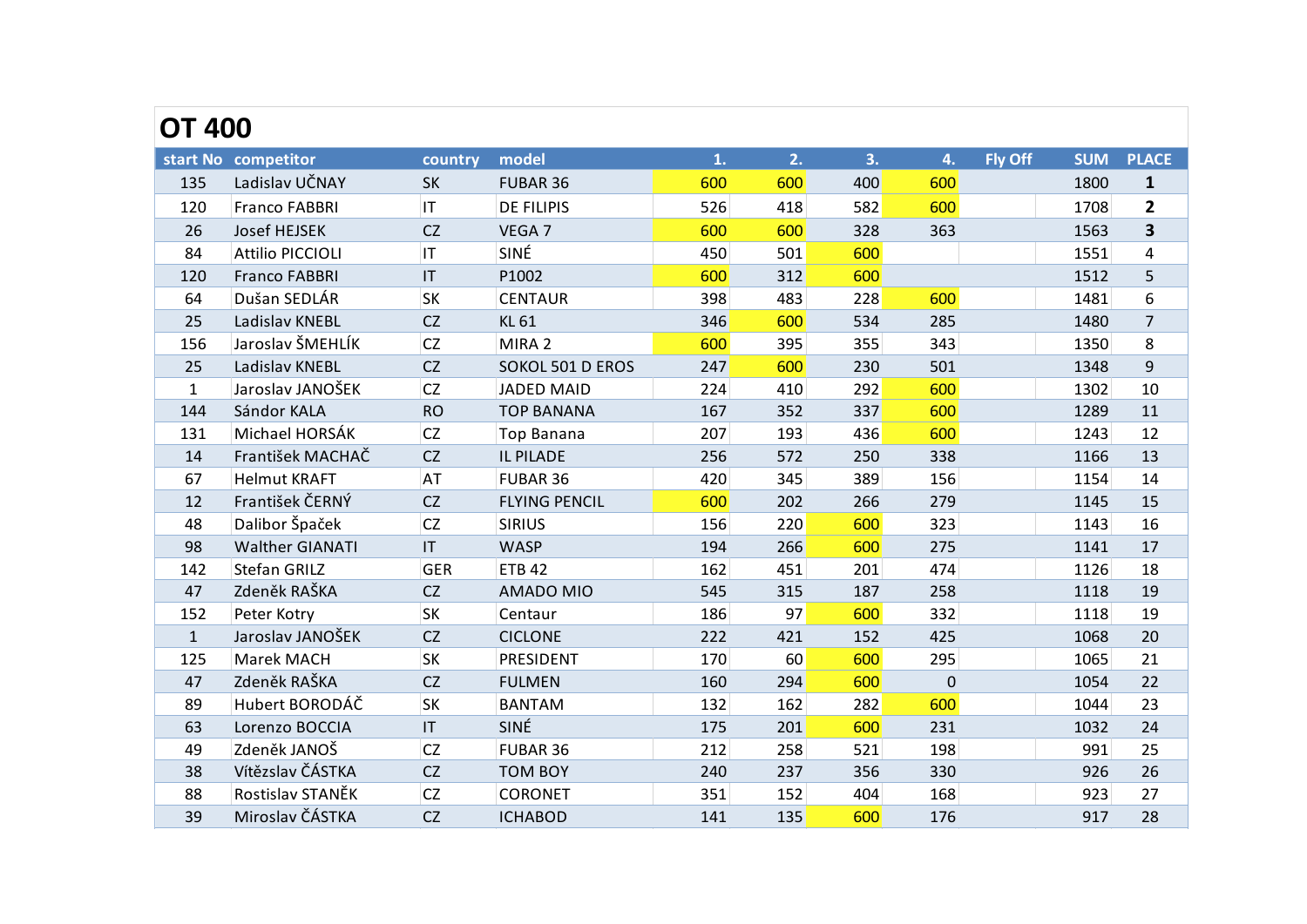| <b>OT 400</b> |                         |            |                      |     |     |     |             |                |            |                |
|---------------|-------------------------|------------|----------------------|-----|-----|-----|-------------|----------------|------------|----------------|
|               | start No competitor     | country    | model                | 1.  | 2.  | 3.  | 4.          | <b>Fly Off</b> | <b>SUM</b> | <b>PLACE</b>   |
| 135           | Ladislav UČNAY          | SK         | FUBAR 36             | 600 | 600 | 400 | 600         |                | 1800       | 1              |
| 120           | <b>Franco FABBRI</b>    | IT         | <b>DE FILIPIS</b>    | 526 | 418 | 582 | 600         |                | 1708       | $\mathbf{2}$   |
| 26            | Josef HEJSEK            | CZ         | VEGA 7               | 600 | 600 | 328 | 363         |                | 1563       | 3              |
| 84            | <b>Attilio PICCIOLI</b> | IT         | SINÉ                 | 450 | 501 | 600 |             |                | 1551       | 4              |
| 120           | <b>Franco FABBRI</b>    | IT         | P1002                | 600 | 312 | 600 |             |                | 1512       | 5              |
| 64            | Dušan SEDLÁR            | SK         | <b>CENTAUR</b>       | 398 | 483 | 228 | 600         |                | 1481       | 6              |
| 25            | Ladislav KNEBL          | CZ         | <b>KL 61</b>         | 346 | 600 | 534 | 285         |                | 1480       | $\overline{7}$ |
| 156           | Jaroslav ŠMEHLÍK        | CZ         | MIRA 2               | 600 | 395 | 355 | 343         |                | 1350       | 8              |
| 25            | Ladislav KNEBL          | CZ         | SOKOL 501 D EROS     | 247 | 600 | 230 | 501         |                | 1348       | 9              |
| $\mathbf{1}$  | Jaroslav JANOŠEK        | <b>CZ</b>  | JADED MAID           | 224 | 410 | 292 | 600         |                | 1302       | 10             |
| 144           | Sándor KALA             | <b>RO</b>  | <b>TOP BANANA</b>    | 167 | 352 | 337 | 600         |                | 1289       | 11             |
| 131           | Michael HORSÁK          | CZ         | <b>Top Banana</b>    | 207 | 193 | 436 | 600         |                | 1243       | 12             |
| 14            | František MACHAČ        | CZ         | IL PILADE            | 256 | 572 | 250 | 338         |                | 1166       | 13             |
| 67            | <b>Helmut KRAFT</b>     | <b>AT</b>  | FUBAR 36             | 420 | 345 | 389 | 156         |                | 1154       | 14             |
| 12            | František ČERNÝ         | CZ         | <b>FLYING PENCIL</b> | 600 | 202 | 266 | 279         |                | 1145       | 15             |
| 48            | Dalibor Špaček          | CZ         | <b>SIRIUS</b>        | 156 | 220 | 600 | 323         |                | 1143       | 16             |
| 98            | <b>Walther GIANATI</b>  | IT         | <b>WASP</b>          | 194 | 266 | 600 | 275         |                | 1141       | 17             |
| 142           | Stefan GRILZ            | <b>GER</b> | <b>ETB 42</b>        | 162 | 451 | 201 | 474         |                | 1126       | 18             |
| 47            | Zdeněk RAŠKA            | CZ         | <b>AMADO MIO</b>     | 545 | 315 | 187 | 258         |                | 1118       | 19             |
| 152           | Peter Kotry             | SK         | Centaur              | 186 | 97  | 600 | 332         |                | 1118       | 19             |
| $\mathbf{1}$  | Jaroslav JANOŠEK        | CZ         | <b>CICLONE</b>       | 222 | 421 | 152 | 425         |                | 1068       | 20             |
| 125           | Marek MACH              | <b>SK</b>  | PRESIDENT            | 170 | 60  | 600 | 295         |                | 1065       | 21             |
| 47            | Zdeněk RAŠKA            | CZ         | <b>FULMEN</b>        | 160 | 294 | 600 | $\mathbf 0$ |                | 1054       | 22             |
| 89            | Hubert BORODÁČ          | <b>SK</b>  | <b>BANTAM</b>        | 132 | 162 | 282 | 600         |                | 1044       | 23             |
| 63            | Lorenzo BOCCIA          | IT         | SINÉ                 | 175 | 201 | 600 | 231         |                | 1032       | 24             |
| 49            | Zdeněk JANOŠ            | <b>CZ</b>  | FUBAR 36             | 212 | 258 | 521 | 198         |                | 991        | 25             |
| 38            | Vítězslav ČÁSTKA        | <b>CZ</b>  | <b>TOM BOY</b>       | 240 | 237 | 356 | 330         |                | 926        | 26             |
| 88            | Rostislav STANĚK        | CZ         | <b>CORONET</b>       | 351 | 152 | 404 | 168         |                | 923        | 27             |
| 39            | Miroslav ČÁSTKA         | CZ         | <b>ICHABOD</b>       | 141 | 135 | 600 | 176         |                | 917        | 28             |
|               |                         |            |                      |     |     |     |             |                |            |                |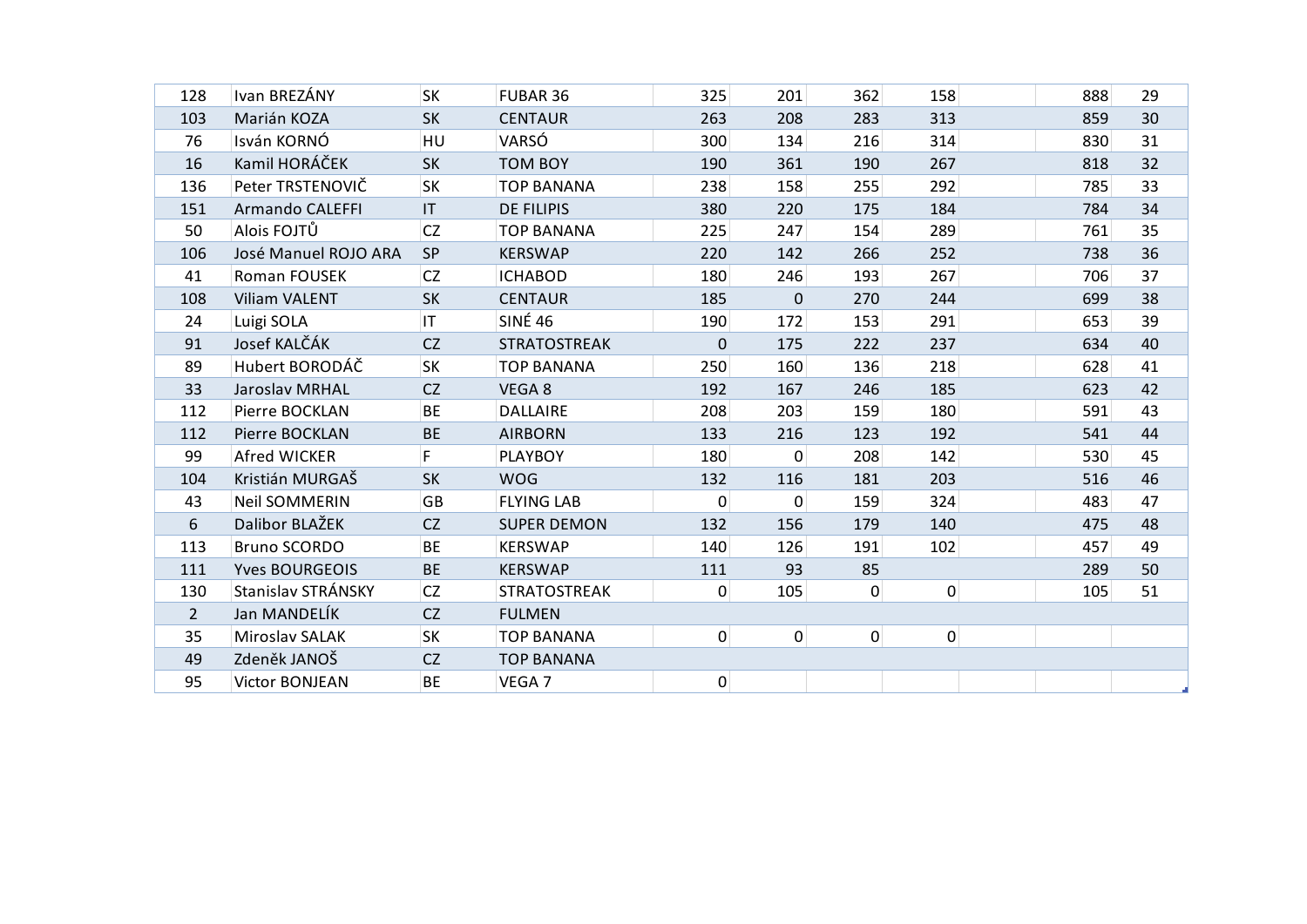| 128         | Ivan BREZÁNY           | <b>SK</b> | FUBAR 36            | 325            | 201         | 362            | 158            | 888 | 29 |
|-------------|------------------------|-----------|---------------------|----------------|-------------|----------------|----------------|-----|----|
| 103         | Marián KOZA            | <b>SK</b> | <b>CENTAUR</b>      | 263            | 208         | 283            | 313            | 859 | 30 |
| 76          | Isván KORNÓ            | HU        | VARSÓ               | 300            | 134         | 216            | 314            | 830 | 31 |
| 16          | Kamil HORÁČEK          | <b>SK</b> | <b>TOM BOY</b>      | 190            | 361         | 190            | 267            | 818 | 32 |
| 136         | Peter TRSTENOVIČ       | <b>SK</b> | <b>TOP BANANA</b>   | 238            | 158         | 255            | 292            | 785 | 33 |
| 151         | <b>Armando CALEFFI</b> | IT.       | <b>DE FILIPIS</b>   | 380            | 220         | 175            | 184            | 784 | 34 |
| 50          | Alois FOJTŮ            | <b>CZ</b> | <b>TOP BANANA</b>   | 225            | 247         | 154            | 289            | 761 | 35 |
| 106         | José Manuel ROJO ARA   | <b>SP</b> | <b>KERSWAP</b>      | 220            | 142         | 266            | 252            | 738 | 36 |
| 41          | Roman FOUSEK           | CZ        | <b>ICHABOD</b>      | 180            | 246         | 193            | 267            | 706 | 37 |
| 108         | <b>Viliam VALENT</b>   | <b>SK</b> | <b>CENTAUR</b>      | 185            | $\mathbf 0$ | 270            | 244            | 699 | 38 |
| 24          | Luigi SOLA             | IT        | <b>SINÉ 46</b>      | 190            | 172         | 153            | 291            | 653 | 39 |
| 91          | Josef KALČÁK           | CZ        | <b>STRATOSTREAK</b> | $\mathbf 0$    | 175         | 222            | 237            | 634 | 40 |
| 89          | Hubert BORODÁČ         | SK        | <b>TOP BANANA</b>   | 250            | 160         | 136            | 218            | 628 | 41 |
| 33          | Jaroslav MRHAL         | CZ        | VEGA 8              | 192            | 167         | 246            | 185            | 623 | 42 |
| 112         | Pierre BOCKLAN         | <b>BE</b> | <b>DALLAIRE</b>     | 208            | 203         | 159            | 180            | 591 | 43 |
| 112         | Pierre BOCKLAN         | <b>BE</b> | <b>AIRBORN</b>      | 133            | 216         | 123            | 192            | 541 | 44 |
| 99          | <b>Afred WICKER</b>    | F         | <b>PLAYBOY</b>      | 180            | $\mathbf 0$ | 208            | 142            | 530 | 45 |
| 104         | Kristián MURGAŠ        | <b>SK</b> | <b>WOG</b>          | 132            | 116         | 181            | 203            | 516 | 46 |
| 43          | <b>Neil SOMMERIN</b>   | GB        | <b>FLYING LAB</b>   | $\pmb{0}$      | 0           | 159            | 324            | 483 | 47 |
| 6           | Dalibor BLAŽEK         | <b>CZ</b> | <b>SUPER DEMON</b>  | 132            | 156         | 179            | 140            | 475 | 48 |
| 113         | <b>Bruno SCORDO</b>    | <b>BE</b> | <b>KERSWAP</b>      | 140            | 126         | 191            | 102            | 457 | 49 |
| 111         | <b>Yves BOURGEOIS</b>  | <b>BE</b> | <b>KERSWAP</b>      | 111            | 93          | 85             |                | 289 | 50 |
| 130         | Stanislav STRÁNSKY     | CZ        | <b>STRATOSTREAK</b> | $\overline{0}$ | 105         | $\overline{0}$ | $\overline{0}$ | 105 | 51 |
| $2^{\circ}$ | Jan MANDELÍK           | CZ        | <b>FULMEN</b>       |                |             |                |                |     |    |
| 35          | Miroslav SALAK         | SK        | <b>TOP BANANA</b>   | $\overline{0}$ | $\mathbf 0$ | $\overline{0}$ | $\overline{0}$ |     |    |
| 49          | Zdeněk JANOŠ           | CZ        | <b>TOP BANANA</b>   |                |             |                |                |     |    |
| 95          | <b>Victor BONJEAN</b>  | <b>BE</b> | VEGA 7              | $\overline{0}$ |             |                |                |     |    |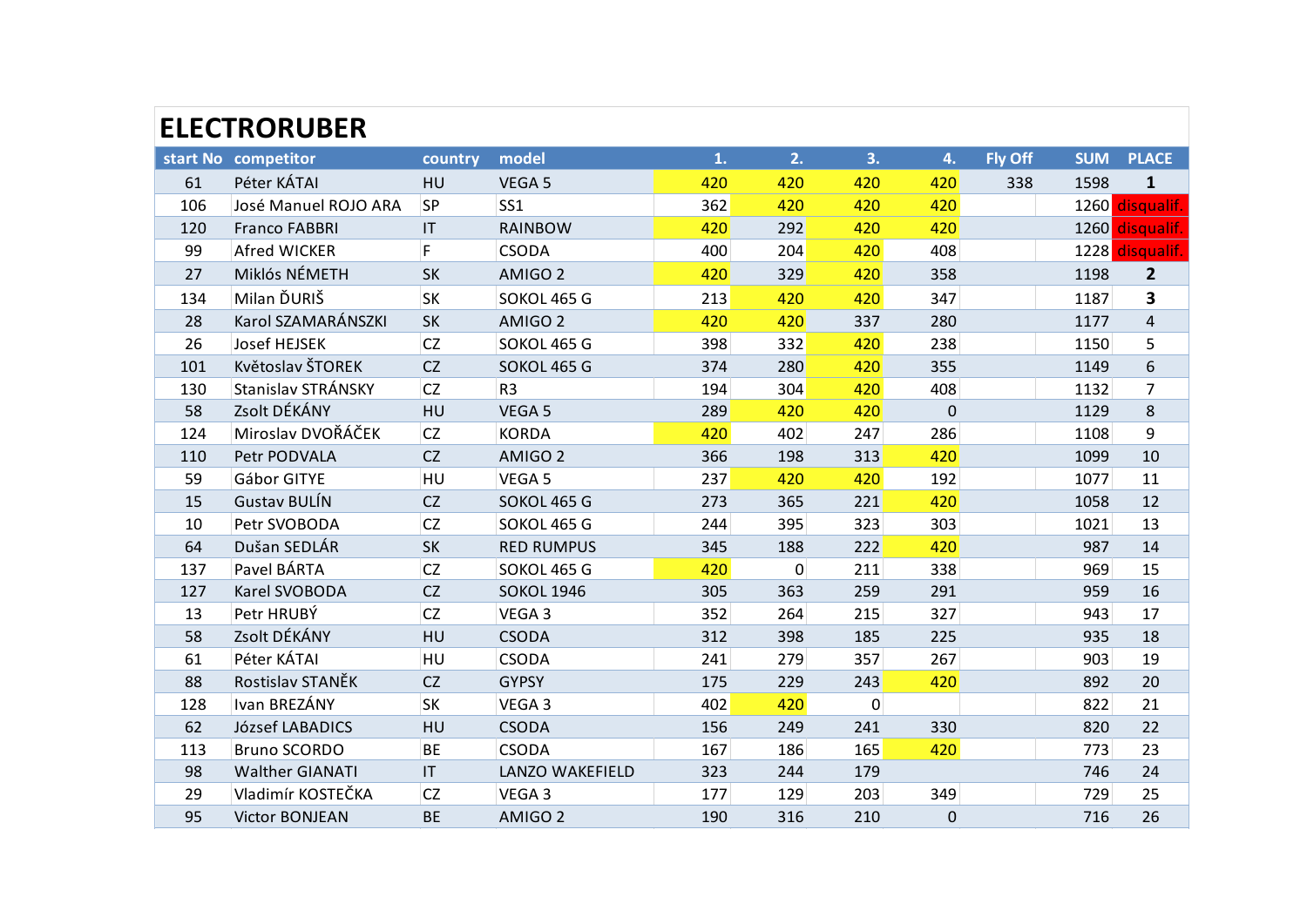|     | <b>ELECTRORUBER</b>    |              |                    |     |     |     |              |                |            |                |
|-----|------------------------|--------------|--------------------|-----|-----|-----|--------------|----------------|------------|----------------|
|     | start No competitor    | country      | model              | 1.  | 2.  | 3.  | 4.           | <b>Fly Off</b> | <b>SUM</b> | <b>PLACE</b>   |
| 61  | Péter KÁTAI            | HU           | VEGA 5             | 420 | 420 | 420 | 420          | 338            | 1598       | $\mathbf{1}$   |
| 106 | José Manuel ROJO ARA   | SP           | SS <sub>1</sub>    | 362 | 420 | 420 | 420          |                | 1260       | disqualif.     |
| 120 | <b>Franco FABBRI</b>   | IT           | <b>RAINBOW</b>     | 420 | 292 | 420 | 420          |                | 1260       | disqualif.     |
| 99  | Afred WICKER           | F            | <b>CSODA</b>       | 400 | 204 | 420 | 408          |                | 1228       | disqualif.     |
| 27  | Miklós NÉMETH          | <b>SK</b>    | AMIGO <sub>2</sub> | 420 | 329 | 420 | 358          |                | 1198       | $\overline{2}$ |
| 134 | Milan ĎURIŠ            | <b>SK</b>    | SOKOL 465 G        | 213 | 420 | 420 | 347          |                | 1187       | 3              |
| 28  | Karol SZAMARÁNSZKI     | <b>SK</b>    | AMIGO <sub>2</sub> | 420 | 420 | 337 | 280          |                | 1177       | $\overline{4}$ |
| 26  | <b>Josef HEJSEK</b>    | <b>CZ</b>    | SOKOL 465 G        | 398 | 332 | 420 | 238          |                | 1150       | 5              |
| 101 | Květoslav ŠTOREK       | <b>CZ</b>    | SOKOL 465 G        | 374 | 280 | 420 | 355          |                | 1149       | 6              |
| 130 | Stanislav STRÁNSKY     | <b>CZ</b>    | R <sub>3</sub>     | 194 | 304 | 420 | 408          |                | 1132       | 7              |
| 58  | Zsolt DÉKÁNY           | HU           | VEGA 5             | 289 | 420 | 420 | $\mathbf 0$  |                | 1129       | 8              |
| 124 | Miroslav DVOŘÁČEK      | <b>CZ</b>    | <b>KORDA</b>       | 420 | 402 | 247 | 286          |                | 1108       | 9              |
| 110 | Petr PODVALA           | <b>CZ</b>    | AMIGO <sub>2</sub> | 366 | 198 | 313 | 420          |                | 1099       | 10             |
| 59  | Gábor GITYE            | HU           | VEGA 5             | 237 | 420 | 420 | 192          |                | 1077       | 11             |
| 15  | <b>Gustav BULÍN</b>    | <b>CZ</b>    | SOKOL 465 G        | 273 | 365 | 221 | 420          |                | 1058       | 12             |
| 10  | Petr SVOBODA           | <b>CZ</b>    | SOKOL 465 G        | 244 | 395 | 323 | 303          |                | 1021       | 13             |
| 64  | Dušan SEDLÁR           | <b>SK</b>    | <b>RED RUMPUS</b>  | 345 | 188 | 222 | 420          |                | 987        | 14             |
| 137 | Pavel BÁRTA            | <b>CZ</b>    | SOKOL 465 G        | 420 | 0   | 211 | 338          |                | 969        | 15             |
| 127 | Karel SVOBODA          | CZ           | <b>SOKOL 1946</b>  | 305 | 363 | 259 | 291          |                | 959        | 16             |
| 13  | Petr HRUBÝ             | <b>CZ</b>    | VEGA 3             | 352 | 264 | 215 | 327          |                | 943        | 17             |
| 58  | Zsolt DÉKÁNY           | HU           | <b>CSODA</b>       | 312 | 398 | 185 | 225          |                | 935        | 18             |
| 61  | Péter KÁTAI            | HU           | <b>CSODA</b>       | 241 | 279 | 357 | 267          |                | 903        | 19             |
| 88  | Rostislav STANĚK       | CZ           | <b>GYPSY</b>       | 175 | 229 | 243 | 420          |                | 892        | 20             |
| 128 | Ivan BREZÁNY           | <b>SK</b>    | VEGA 3             | 402 | 420 | 0   |              |                | 822        | 21             |
| 62  | József LABADICS        | HU           | <b>CSODA</b>       | 156 | 249 | 241 | 330          |                | 820        | 22             |
| 113 | <b>Bruno SCORDO</b>    | <b>BE</b>    | <b>CSODA</b>       | 167 | 186 | 165 | 420          |                | 773        | 23             |
| 98  | <b>Walther GIANATI</b> | $\mathbf{H}$ | LANZO WAKEFIELD    | 323 | 244 | 179 |              |                | 746        | 24             |
| 29  | Vladimír KOSTEČKA      | <b>CZ</b>    | VEGA 3             | 177 | 129 | 203 | 349          |                | 729        | 25             |
| 95  | <b>Victor BONJEAN</b>  | <b>BE</b>    | AMIGO <sub>2</sub> | 190 | 316 | 210 | $\mathbf{0}$ |                | 716        | 26             |
|     |                        |              |                    |     |     |     |              |                |            |                |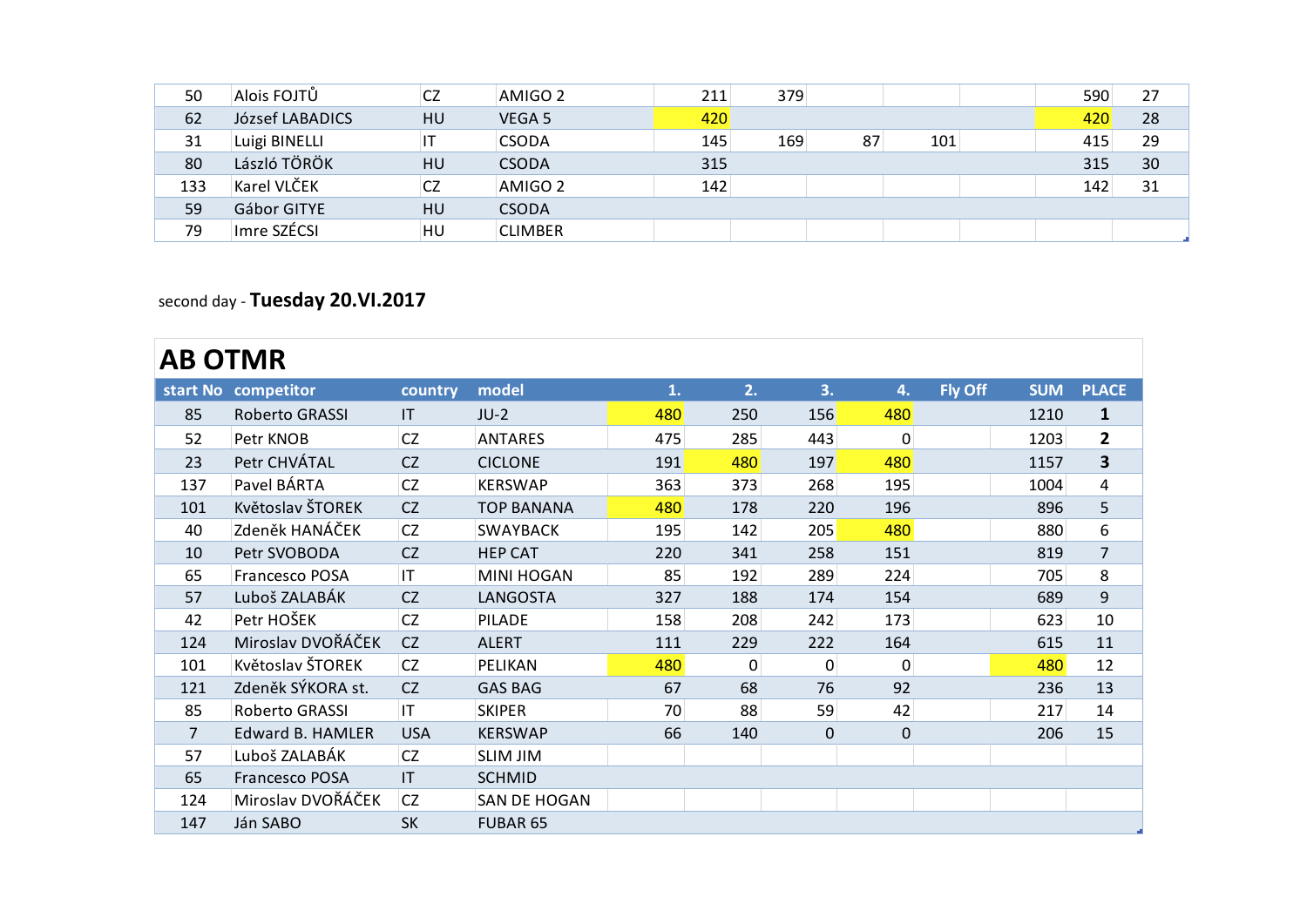| 50  | Alois FOJTŮ     | <b>CZ</b> | AMIGO <sub>2</sub> | 211 | 379 |    |     | 590 | 27 |
|-----|-----------------|-----------|--------------------|-----|-----|----|-----|-----|----|
| 62  | József LABADICS | HU        | VEGA 5             | 420 |     |    |     | 420 | 28 |
| 31  | Luigi BINELLI   | IT        | <b>CSODA</b>       | 145 | 169 | 87 | 101 | 415 | 29 |
| 80  | László TÖRÖK    | HU        | <b>CSODA</b>       | 315 |     |    |     | 315 | 30 |
| 133 | Karel VLČEK     | <b>CZ</b> | AMIGO <sub>2</sub> | 142 |     |    |     | 142 | 31 |
| 59  | Gábor GITYE     | <b>HU</b> | <b>CSODA</b>       |     |     |    |     |     |    |
| 79  | Imre SZÉCSI     | HU        | <b>CLIMBER</b>     |     |     |    |     |     |    |
|     |                 |           |                    |     |     |    |     |     |    |
|     |                 |           |                    |     |     |    |     |     |    |

### second day - **Tuesday 20.VI.2017**

| <b>AB OTMR</b> |                         |            |                     |     |          |     |             |                |            |                         |
|----------------|-------------------------|------------|---------------------|-----|----------|-----|-------------|----------------|------------|-------------------------|
|                | start No competitor     | country    | model               | 1.  | 2.       | 3.  | 4.          | <b>Fly Off</b> | <b>SUM</b> | <b>PLACE</b>            |
| 85             | <b>Roberto GRASSI</b>   | IT         | $JU-2$              | 480 | 250      | 156 | 480         |                | 1210       | $\mathbf{1}$            |
| 52             | Petr KNOB               | <b>CZ</b>  | <b>ANTARES</b>      | 475 | 285      | 443 | $\Omega$    |                | 1203       | $\overline{\mathbf{2}}$ |
| 23             | Petr CHVÁTAL            | CZ         | <b>CICLONE</b>      | 191 | 480      | 197 | 480         |                | 1157       | 3                       |
| 137            | Pavel BÁRTA             | CZ.        | <b>KERSWAP</b>      | 363 | 373      | 268 | 195         |                | 1004       | 4                       |
| 101            | Květoslav ŠTOREK        | CZ         | <b>TOP BANANA</b>   | 480 | 178      | 220 | 196         |                | 896        | 5                       |
| 40             | Zdeněk HANÁČEK          | <b>CZ</b>  | <b>SWAYBACK</b>     | 195 | 142      | 205 | 480         |                | 880        | 6                       |
| 10             | Petr SVOBODA            | <b>CZ</b>  | <b>HEP CAT</b>      | 220 | 341      | 258 | 151         |                | 819        | $\overline{7}$          |
| 65             | <b>Francesco POSA</b>   | IT         | <b>MINI HOGAN</b>   | 85  | 192      | 289 | 224         |                | 705        | 8                       |
| 57             | Luboš ZALABÁK           | <b>CZ</b>  | <b>LANGOSTA</b>     | 327 | 188      | 174 | 154         |                | 689        | 9                       |
| 42             | Petr HOŠEK              | CZ         | PILADE              | 158 | 208      | 242 | 173         |                | 623        | 10                      |
| 124            | Miroslav DVOŘÁČEK       | CZ         | <b>ALERT</b>        | 111 | 229      | 222 | 164         |                | 615        | 11                      |
| 101            | Květoslav ŠTOREK        | CZ         | PELIKAN             | 480 | $\Omega$ | 0   | $\Omega$    |                | 480        | 12                      |
| 121            | Zdeněk SÝKORA st.       | <b>CZ</b>  | <b>GAS BAG</b>      | 67  | 68       | 76  | 92          |                | 236        | 13                      |
| 85             | Roberto GRASSI          | IT         | <b>SKIPER</b>       | 70  | 88       | 59  | 42          |                | 217        | 14                      |
| $\overline{7}$ | <b>Edward B. HAMLER</b> | <b>USA</b> | <b>KERSWAP</b>      | 66  | 140      | 0   | $\mathbf 0$ |                | 206        | 15                      |
| 57             | Luboš ZALABÁK           | <b>CZ</b>  | <b>SLIM JIM</b>     |     |          |     |             |                |            |                         |
| 65             | Francesco POSA          | IT         | <b>SCHMID</b>       |     |          |     |             |                |            |                         |
| 124            | Miroslav DVOŘÁČEK       | <b>CZ</b>  | <b>SAN DE HOGAN</b> |     |          |     |             |                |            |                         |
| 147            | Ján SABO                | <b>SK</b>  | FUBAR 65            |     |          |     |             |                |            |                         |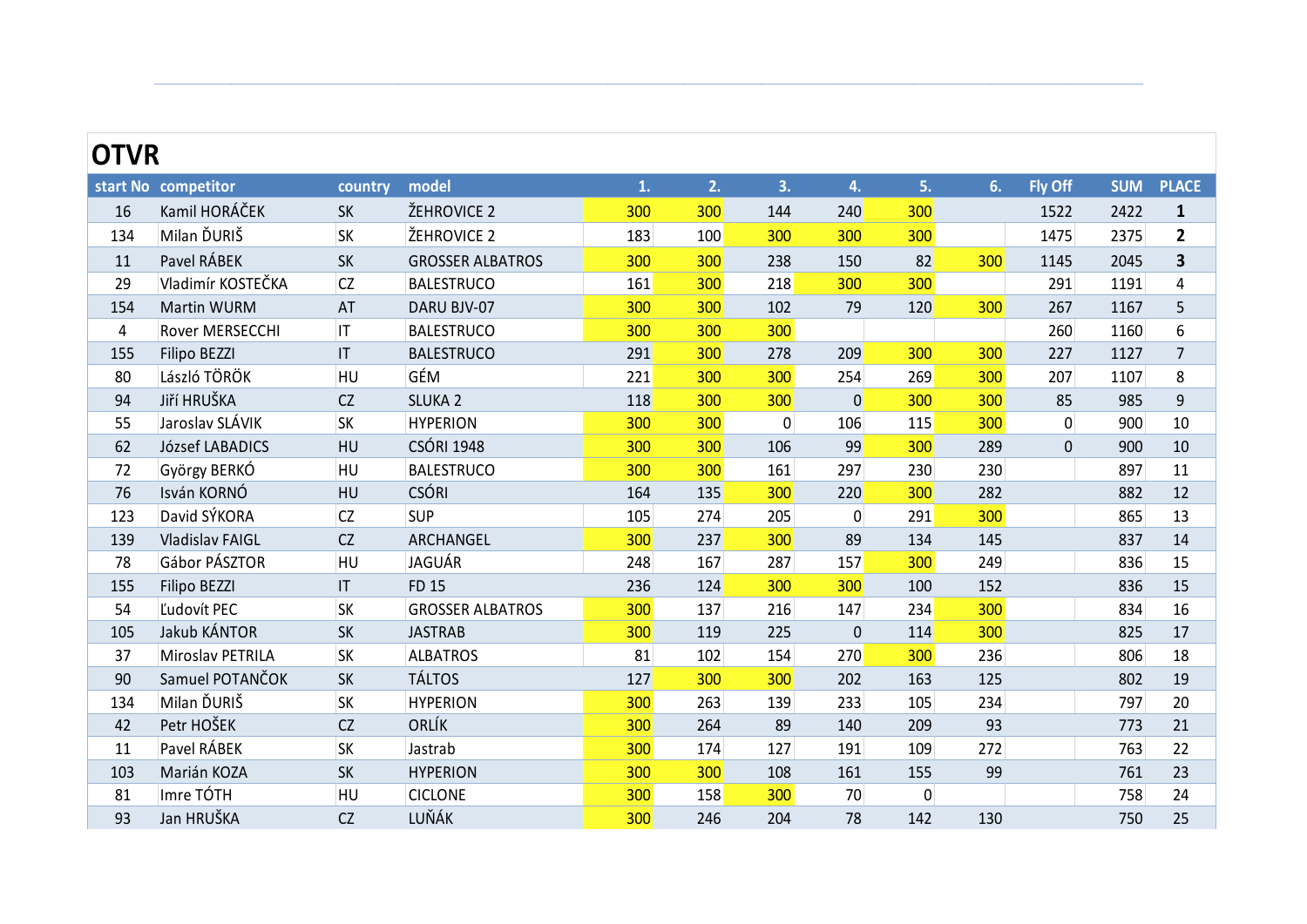| <b>OTVR</b> |                        |           |                         |     |     |     |     |     |     |                |            |              |
|-------------|------------------------|-----------|-------------------------|-----|-----|-----|-----|-----|-----|----------------|------------|--------------|
|             | start No competitor    | country   | model                   |     | 2.  | 3.  |     | 5.  | 6.7 | <b>Fly Off</b> | <b>SUM</b> | <b>PLACE</b> |
| 16          | Kamil HORÁČEK          | <b>SK</b> | ŽEHROVICE 2             | 300 | 300 | 144 | 240 | 300 |     | 1522           | 2422       |              |
| 134         | Milan ĎURIŠ            | <b>SK</b> | ŽEHROVICE 2             | 183 | 100 | 300 | 300 | 300 |     | 1475           | 2375       |              |
| 11          | Pavel RÁBEK            | <b>SK</b> | <b>GROSSER ALBATROS</b> | 300 | 300 | 238 | 150 | 82  | 300 | 1145           | 2045       |              |
| 29          | Vladimír KOSTEČKA      | <b>CZ</b> | <b>BALESTRUCO</b>       | 161 | 300 | 218 | 300 | 300 |     | 291            | 1191       | 4            |
| 154         | Martin WURM            | AT        | DARU BJV-07             | 300 | 300 | 102 | 79  | 120 | 300 | 267            | 1167       |              |
| 4           | <b>Rover MERSECCHI</b> | IT        | <b>BALESTRUCO</b>       | 300 | 300 | 300 |     |     |     | 260            | 1160       | 6            |
| 155         | Filipo BEZZI           | IT        | <b>BALESTRUCO</b>       | 291 | 300 | 278 | 209 | 300 | 300 | 227            | 1127       |              |
|             |                        |           |                         |     |     |     |     |     |     |                |            |              |

Ján SABO SK FUBAR 65

|                | start No competitor | country                | model                   | 1.  | 2.  | 3.        | 4.             | 5.        | 6.  | <b>Fly Off</b> | <b>SUM</b> | <b>PLACE</b>            |
|----------------|---------------------|------------------------|-------------------------|-----|-----|-----------|----------------|-----------|-----|----------------|------------|-------------------------|
| 16             | Kamil HORÁČEK       | SK                     | ŽEHROVICE 2             | 300 | 300 | 144       | 240            | 300       |     | 1522           | 2422       | $\mathbf{1}$            |
| 134            | Milan ĎURIŠ         | <b>SK</b>              | ŽEHROVICE 2             | 183 | 100 | 300       | 300            | 300       |     | 1475           | 2375       | $\mathbf{2}$            |
| 11             | Pavel RÁBEK         | SK                     | <b>GROSSER ALBATROS</b> | 300 | 300 | 238       | 150            | 82        | 300 | 1145           | 2045       | $\overline{\mathbf{3}}$ |
| 29             | Vladimír KOSTEČKA   | <b>CZ</b>              | <b>BALESTRUCO</b>       | 161 | 300 | 218       | 300            | 300       |     | 291            | 1191       | 4                       |
| 154            | Martin WURM         | AT                     | DARU BJV-07             | 300 | 300 | 102       | 79             | 120       | 300 | 267            | 1167       | 5                       |
| $\overline{4}$ | Rover MERSECCHI     | IT.                    | <b>BALESTRUCO</b>       | 300 | 300 | 300       |                |           |     | 260            | 1160       | 6                       |
| 155            | Filipo BEZZI        | $\mathsf{I}\mathsf{T}$ | <b>BALESTRUCO</b>       | 291 | 300 | 278       | 209            | 300       | 300 | 227            | 1127       | $7\overline{ }$         |
| 80             | László TÖRÖK        | HU                     | GÉM                     | 221 | 300 | 300       | 254            | 269       | 300 | 207            | 1107       | 8                       |
| 94             | Jiří HRUŠKA         | CZ                     | <b>SLUKA 2</b>          | 118 | 300 | 300       | $\overline{0}$ | 300       | 300 | 85             | 985        | 9                       |
| 55             | Jaroslav SLÁVIK     | <b>SK</b>              | <b>HYPERION</b>         | 300 | 300 | $\pmb{0}$ | 106            | 115       | 300 | $\overline{0}$ | 900        | 10                      |
| 62             | József LABADICS     | HU                     | <b>CSÓRI 1948</b>       | 300 | 300 | 106       | 99             | 300       | 289 | $\mathbf 0$    | 900        | 10                      |
| 72             | György BERKÓ        | HU                     | <b>BALESTRUCO</b>       | 300 | 300 | 161       | 297            | 230       | 230 |                | 897        | 11                      |
| 76             | Isván KORNÓ         | HU                     | <b>CSÓRI</b>            | 164 | 135 | 300       | 220            | 300       | 282 |                | 882        | 12                      |
| 123            | David SÝKORA        | CZ                     | <b>SUP</b>              | 105 | 274 | 205       | 0              | 291       | 300 |                | 865        | 13                      |
| 139            | Vladislav FAIGL     | CZ                     | ARCHANGEL               | 300 | 237 | 300       | 89             | 134       | 145 |                | 837        | 14                      |
| 78             | Gábor PÁSZTOR       | HU                     | JAGUÁR                  | 248 | 167 | 287       | 157            | 300       | 249 |                | 836        | 15                      |
| 155            | Filipo BEZZI        | $\mathsf{I}\mathsf{T}$ | <b>FD 15</b>            | 236 | 124 | 300       | 300            | 100       | 152 |                | 836        | 15                      |
| 54             | Ľudovít PEC         | <b>SK</b>              | <b>GROSSER ALBATROS</b> | 300 | 137 | 216       | 147            | 234       | 300 |                | 834        | 16                      |
| 105            | Jakub KÁNTOR        | SK                     | <b>JASTRAB</b>          | 300 | 119 | 225       | $\mathbf 0$    | 114       | 300 |                | 825        | 17                      |
| 37             | Miroslav PETRILA    | <b>SK</b>              | <b>ALBATROS</b>         | 81  | 102 | 154       | 270            | 300       | 236 |                | 806        | 18                      |
| 90             | Samuel POTANČOK     | SK                     | <b>TÁLTOS</b>           | 127 | 300 | 300       | 202            | 163       | 125 |                | 802        | 19                      |
| 134            | Milan ĎURIŠ         | <b>SK</b>              | <b>HYPERION</b>         | 300 | 263 | 139       | 233            | 105       | 234 |                | 797        | 20                      |
| 42             | Petr HOŠEK          | CZ                     | ORLÍK                   | 300 | 264 | 89        | 140            | 209       | 93  |                | 773        | 21                      |
| 11             | Pavel RÁBEK         | <b>SK</b>              | Jastrab                 | 300 | 174 | 127       | 191            | 109       | 272 |                | 763        | 22                      |
| 103            | Marián KOZA         | SK                     | <b>HYPERION</b>         | 300 | 300 | 108       | 161            | 155       | 99  |                | 761        | 23                      |
| 81             | Imre TÓTH           | HU                     | <b>CICLONE</b>          | 300 | 158 | 300       | 70             | $\pmb{0}$ |     |                | 758        | 24                      |
| 93             | Jan HRUŠKA          | CZ                     | LUŇÁK                   | 300 | 246 | 204       | 78             | 142       | 130 |                | 750        | 25                      |
|                |                     |                        |                         |     |     |           |                |           |     |                |            |                         |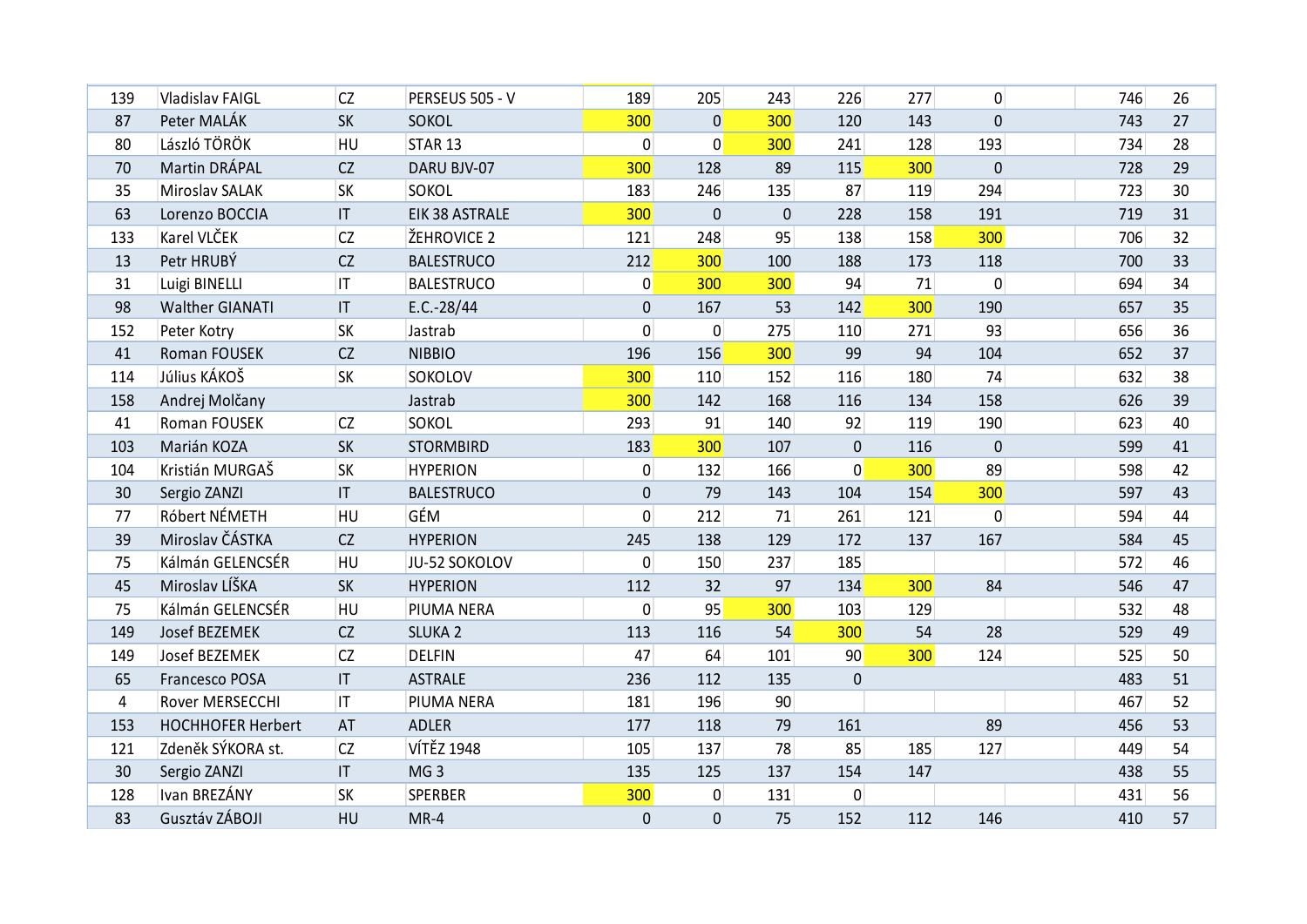| 139             | Vladislav FAIGL               | <b>CZ</b>              | PERSEUS 505 - V             | 189                   | 205                           | 243       | 226         | 277        | $\vert 0 \vert$  | 746        | 26                    |
|-----------------|-------------------------------|------------------------|-----------------------------|-----------------------|-------------------------------|-----------|-------------|------------|------------------|------------|-----------------------|
|                 |                               |                        |                             |                       |                               |           |             |            |                  |            |                       |
| 87              | Peter MALÁK<br>László TÖRÖK   | <b>SK</b><br>HU        | <b>SOKOL</b>                | 300<br>$\overline{0}$ | $\overline{0}$<br>$\mathbf 0$ | 300       | 120         | 143        | 0                | 743        | 27                    |
| 80              | Martin DRÁPAL                 |                        | STAR <sub>13</sub>          |                       |                               | 300       | 241         | 128<br>300 | 193              | 734        | 28                    |
| 70              |                               | CZ<br><b>SK</b>        | DARU BJV-07<br><b>SOKOL</b> | 300<br>183            | 128<br>246                    | 89        | 115<br>87   | 119        | $\pmb{0}$<br>294 | 728<br>723 | 29                    |
| 35              | Miroslav SALAK                | $\mathsf{I}\mathsf{T}$ | EIK 38 ASTRALE              | 300                   | $\mathbf{0}$                  | 135       |             |            | 191              | 719        | 30 <sup>°</sup><br>31 |
| 63              | Lorenzo BOCCIA<br>Karel VLČEK |                        | ŽEHROVICE 2                 |                       | 248                           | $\pmb{0}$ | 228         | 158        |                  |            |                       |
| 133             |                               | <b>CZ</b>              |                             | 121                   |                               | 95        | 138         | 158        | 300              | 706        | 32                    |
| 13              | Petr HRUBÝ                    | CZ                     | <b>BALESTRUCO</b>           | 212                   | 300                           | 100       | 188         | 173        | 118              | 700        | 33                    |
| 31              | Luigi BINELLI                 | IT.                    | <b>BALESTRUCO</b>           | $\overline{0}$        | 300                           | 300       | 94          | 71         | $\pmb{0}$        | 694        | 34                    |
| 98              | <b>Walther GIANATI</b>        | $\mathsf{I}\mathsf{T}$ | $E.C.-28/44$                | $\pmb{0}$             | 167                           | 53        | 142         | 300        | 190              | 657        | 35                    |
| 152             | Peter Kotry                   | <b>SK</b>              | Jastrab                     | $\overline{0}$        | $\mathbf 0$                   | 275       | 110         | 271        | 93               | 656        | 36                    |
| 41              | Roman FOUSEK                  | <b>CZ</b>              | <b>NIBBIO</b>               | 196                   | 156                           | 300       | 99          | 94         | 104              | 652        | 37                    |
| 114             | Július KÁKOŠ                  | <b>SK</b>              | <b>SOKOLOV</b>              | 300                   | 110                           | 152       | 116         | 180        | 74               | 632        | 38                    |
| 158             | Andrej Molčany                |                        | Jastrab                     | 300                   | 142                           | 168       | 116         | 134        | 158              | 626        | 39                    |
| 41              | Roman FOUSEK                  | <b>CZ</b>              | <b>SOKOL</b>                | 293                   | 91                            | 140       | 92          | 119        | 190              | 623        | 40                    |
| 103             | Marián KOZA                   | <b>SK</b>              | <b>STORMBIRD</b>            | 183                   | 300                           | 107       | $\mathbf 0$ | 116        | $\pmb{0}$        | 599        | 41                    |
| 104             | Kristián MURGAŠ               | <b>SK</b>              | <b>HYPERION</b>             | $\overline{0}$        | 132                           | 166       | 0           | 300        | 89               | 598        | 42                    |
| 30              | Sergio ZANZI                  | $\mathsf{I}\mathsf{T}$ | <b>BALESTRUCO</b>           | $\pmb{0}$             | 79                            | 143       | 104         | 154        | 300              | 597        | 43                    |
| 77              | Róbert NÉMETH                 | HU                     | GÉM                         | $\overline{0}$        | 212                           | 71        | 261         | 121        | $\overline{0}$   | 594        | 44                    |
| 39              | Miroslav ČÁSTKA               | <b>CZ</b>              | <b>HYPERION</b>             | 245                   | 138                           | 129       | 172         | 137        | 167              | 584        | 45                    |
| 75              | Kálmán GELENCSÉR              | HU                     | JU-52 SOKOLOV               | $\overline{0}$        | 150                           | 237       | 185         |            |                  | 572        | 46                    |
| 45              | Miroslav LÍŠKA                | <b>SK</b>              | <b>HYPERION</b>             | 112                   | 32                            | 97        | 134         | 300        | 84               | 546        | 47                    |
| 75              | Kálmán GELENCSÉR              | HU                     | PIUMA NERA                  | $\overline{0}$        | 95                            | 300       | 103         | 129        |                  | 532        | 48                    |
| 149             | Josef BEZEMEK                 | CZ                     | <b>SLUKA 2</b>              | 113                   | 116                           | 54        | 300         | 54         | 28               | 529        | 49                    |
| 149             | Josef BEZEMEK                 | <b>CZ</b>              | <b>DELFIN</b>               | 47                    | 64                            | 101       | 90          | 300        | 124              | 525        | 50                    |
| 65              | Francesco POSA                | $\mathsf{I}\mathsf{T}$ | <b>ASTRALE</b>              | 236                   | 112                           | 135       | $\mathbf 0$ |            |                  | 483        | 51                    |
| 4               | Rover MERSECCHI               | IT.                    | PIUMA NERA                  | 181                   | 196                           | 90        |             |            |                  | 467        | 52                    |
| 153             | <b>HOCHHOFER Herbert</b>      | AT                     | ADLER                       | 177                   | 118                           | 79        | 161         |            | 89               | 456        | 53                    |
| 121             | Zdeněk SÝKORA st.             | <b>CZ</b>              | <b>VÍTĚZ 1948</b>           | 105                   | 137                           | 78        | 85          | 185        | 127              | 449        | 54                    |
| 30 <sup>°</sup> | Sergio ZANZI                  | $\mathsf{I}\mathsf{T}$ | MG <sub>3</sub>             | 135                   | 125                           | 137       | 154         | 147        |                  | 438        | 55                    |
| 128             | Ivan BREZÁNY                  | <b>SK</b>              | <b>SPERBER</b>              | 300                   | 0                             | 131       | 0           |            |                  | 431        | 56                    |
| 83              | Gusztáv ZÁBOJI                | HU                     | $MR-4$                      | $\mathbf 0$           | $\mathbf 0$                   | 75        | 152         | 112        | 146              | 410        | 57                    |
|                 |                               |                        |                             |                       |                               |           |             |            |                  |            |                       |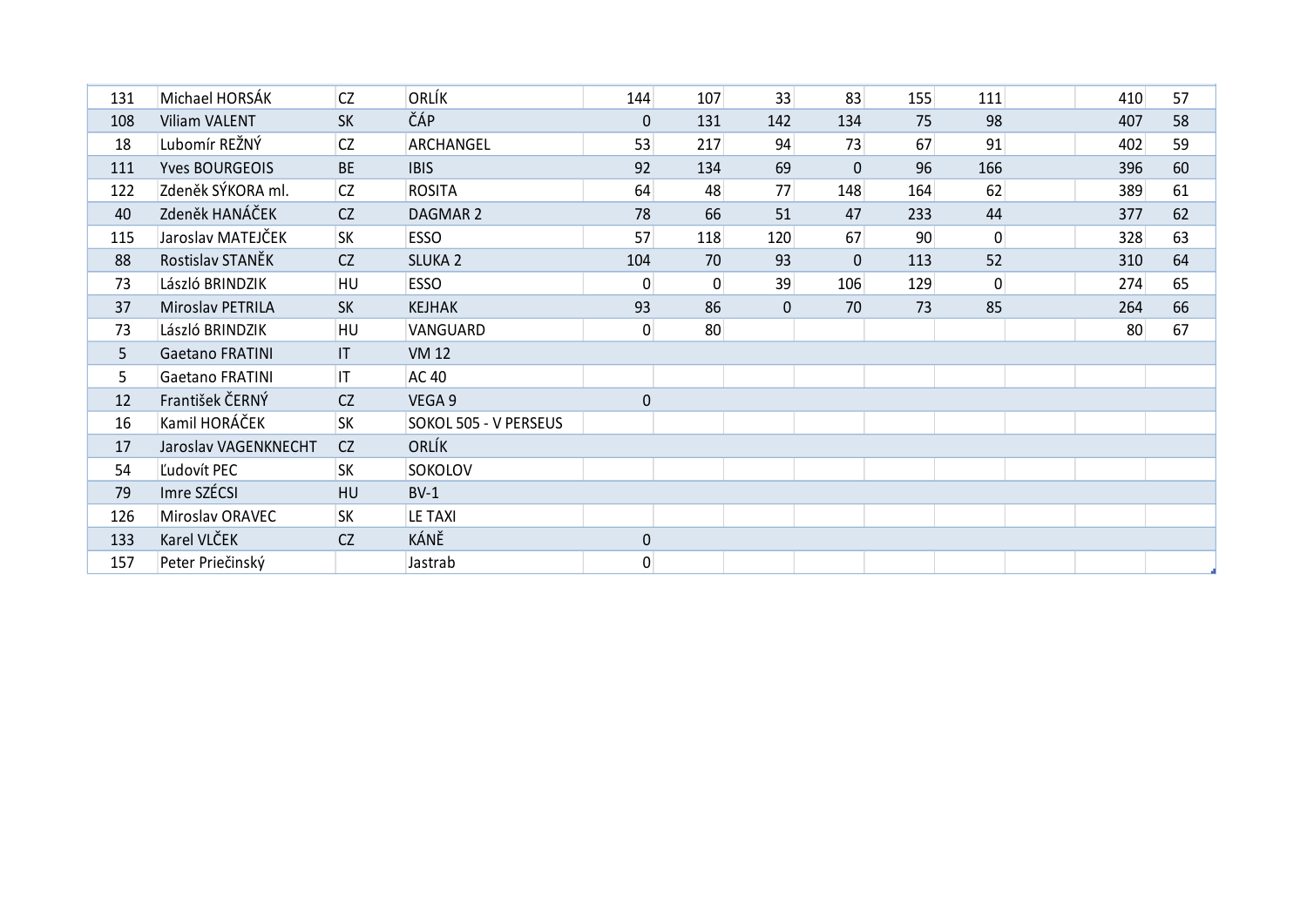| 131 | Michael HORSÁK         | <b>CZ</b> | ORLÍK                        | 144            | 107             | 33          | 83           | 155 | 111 | 410 | 57 |
|-----|------------------------|-----------|------------------------------|----------------|-----------------|-------------|--------------|-----|-----|-----|----|
| 108 | <b>Viliam VALENT</b>   | <b>SK</b> | ČÁP                          | $\mathbf 0$    | 131             | 142         | 134          | 75  | 98  | 407 | 58 |
| 18  | Lubomír REŽNÝ          | <b>CZ</b> | ARCHANGEL                    | 53             | 217             | 94          | 73           | 67  | 91  | 402 | 59 |
| 111 | <b>Yves BOURGEOIS</b>  | <b>BE</b> | <b>IBIS</b>                  | 92             | 134             | 69          | $\mathbf{0}$ | 96  | 166 | 396 | 60 |
| 122 | Zdeněk SÝKORA ml.      | <b>CZ</b> | <b>ROSITA</b>                | 64             | 48              | 77          | 148          | 164 | 62  | 389 | 61 |
| 40  | Zdeněk HANÁČEK         | CZ        | DAGMAR 2                     | 78             | 66              | 51          | 47           | 233 | 44  | 377 | 62 |
| 115 | Jaroslav MATEJČEK      | <b>SK</b> | <b>ESSO</b>                  | 57             | 118             | 120         | 67           | 90  | 0   | 328 | 63 |
| 88  | Rostislav STANĚK       | CZ        | <b>SLUKA 2</b>               | 104            | 70              | 93          | $\mathbf{0}$ | 113 | 52  | 310 | 64 |
| 73  | László BRINDZIK        | HU        | <b>ESSO</b>                  | $\overline{0}$ | $\mathbf 0$     | 39          | 106          | 129 | 0   | 274 | 65 |
| 37  | Miroslav PETRILA       | <b>SK</b> | <b>KEJHAK</b>                | 93             | 86              | $\mathbf 0$ | 70           | 73  | 85  | 264 | 66 |
| 73  | László BRINDZIK        | HU        | VANGUARD                     | $\overline{0}$ | 80 <sup>°</sup> |             |              |     |     | 80  | 67 |
| 5   | <b>Gaetano FRATINI</b> | T         | <b>VM 12</b>                 |                |                 |             |              |     |     |     |    |
| 5   | <b>Gaetano FRATINI</b> | IT.       | <b>AC 40</b>                 |                |                 |             |              |     |     |     |    |
| 12  | František ČERNÝ        | CZ        | VEGA 9                       | $\mathbf 0$    |                 |             |              |     |     |     |    |
| 16  | Kamil HORÁČEK          | <b>SK</b> | <b>SOKOL 505 - V PERSEUS</b> |                |                 |             |              |     |     |     |    |
| 17  | Jaroslav VAGENKNECHT   | CZ        | ORLÍK                        |                |                 |             |              |     |     |     |    |
| 54  | Ľudovít PEC            | <b>SK</b> | <b>SOKOLOV</b>               |                |                 |             |              |     |     |     |    |
| 79  | Imre SZÉCSI            | <b>HU</b> | $BV-1$                       |                |                 |             |              |     |     |     |    |
| 126 | Miroslav ORAVEC        | <b>SK</b> | LE TAXI                      |                |                 |             |              |     |     |     |    |
| 133 | Karel VLČEK            | CZ        | KÁNĚ                         | $\pmb{0}$      |                 |             |              |     |     |     |    |
| 157 | Peter Priečinský       |           | Jastrab                      | $\overline{0}$ |                 |             |              |     |     |     |    |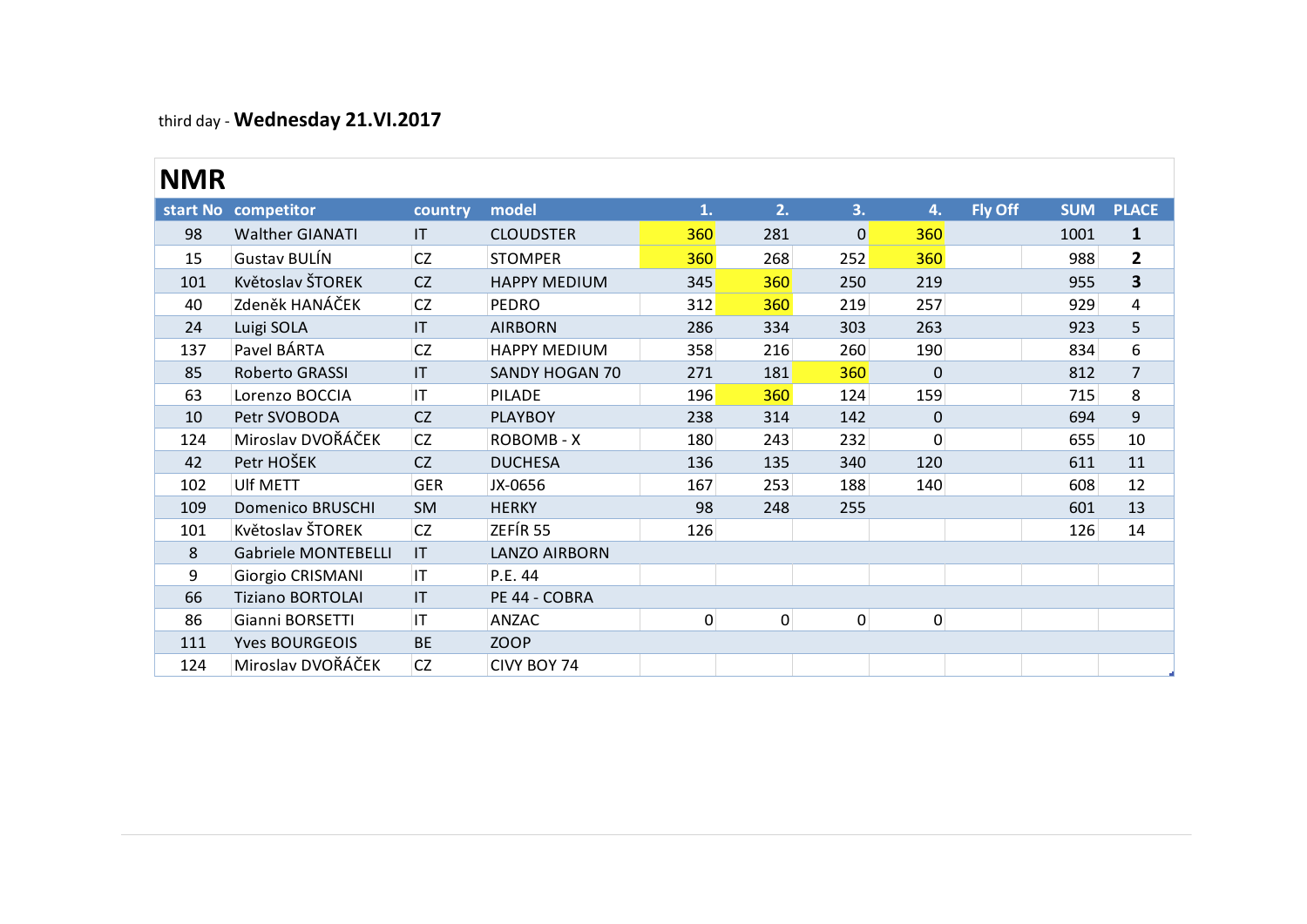### third day - **Wednesday 21.VI.2017**

## **NMR**

|            | $\frac{1}{2}$              |                        |                       |             |     |             |                |         |            |                         |
|------------|----------------------------|------------------------|-----------------------|-------------|-----|-------------|----------------|---------|------------|-------------------------|
| <b>NMR</b> |                            |                        |                       |             |     |             |                |         |            |                         |
|            | start No competitor        | country                | model                 | 1.          | 2.  | 3.          | 4.             | Fly Off | <b>SUM</b> | <b>PLACE</b>            |
| 98         | <b>Walther GIANATI</b>     | IT                     | <b>CLOUDSTER</b>      | 360         | 281 | $\mathbf 0$ | 360            |         | 1001       | $\mathbf{1}$            |
| 15         | <b>Gustav BULÍN</b>        | <b>CZ</b>              | <b>STOMPER</b>        | 360         | 268 | 252         | 360            |         | 988        | $\mathbf{2}$            |
| 101        | Květoslav ŠTOREK           | <b>CZ</b>              | <b>HAPPY MEDIUM</b>   | 345         | 360 | 250         | 219            |         | 955        | $\overline{\mathbf{3}}$ |
| 40         | Zdeněk HANÁČEK             | CZ                     | <b>PEDRO</b>          | 312         | 360 | 219         | 257            |         | 929        | 4                       |
| 24         | Luigi SOLA                 | IT                     | <b>AIRBORN</b>        | 286         | 334 | 303         | 263            |         | 923        | 5                       |
| 137        | Pavel BÁRTA                | <b>CZ</b>              | <b>HAPPY MEDIUM</b>   | 358         | 216 | 260         | 190            |         | 834        | 6                       |
| 85         | Roberto GRASSI             | IT                     | <b>SANDY HOGAN 70</b> | 271         | 181 | 360         | $\mathbf 0$    |         | 812        | $\overline{7}$          |
| 63         | Lorenzo BOCCIA             | IT                     | <b>PILADE</b>         | 196         | 360 | 124         | 159            |         | 715        | 8                       |
| 10         | Petr SVOBODA               | <b>CZ</b>              | <b>PLAYBOY</b>        | 238         | 314 | 142         | $\mathbf{0}$   |         | 694        | 9                       |
| 124        | Miroslav DVOŘÁČEK          | <b>CZ</b>              | ROBOMB - X            | 180         | 243 | 232         | $\overline{0}$ |         | 655        | 10                      |
| 42         | Petr HOŠEK                 | <b>CZ</b>              | <b>DUCHESA</b>        | 136         | 135 | 340         | 120            |         | 611        | 11                      |
| 102        | Ulf METT                   | <b>GER</b>             | JX-0656               | 167         | 253 | 188         | 140            |         | 608        | 12                      |
| 109        | <b>Domenico BRUSCHI</b>    | <b>SM</b>              | <b>HERKY</b>          | 98          | 248 | 255         |                |         | 601        | 13                      |
| 101        | Květoslav ŠTOREK           | <b>CZ</b>              | ZEFÍR 55              | 126         |     |             |                |         | 126        | 14                      |
| 8          | <b>Gabriele MONTEBELLI</b> | $\mathsf{I}\mathsf{T}$ | <b>LANZO AIRBORN</b>  |             |     |             |                |         |            |                         |
| 9          | Giorgio CRISMANI           | IT                     | P.E. 44               |             |     |             |                |         |            |                         |
| 66         | <b>Tiziano BORTOLAI</b>    | IT                     | PE 44 - COBRA         |             |     |             |                |         |            |                         |
| 86         | Gianni BORSETTI            | IT                     | ANZAC                 | $\mathbf 0$ | 0   | 0           | $\overline{0}$ |         |            |                         |
| 111        | <b>Yves BOURGEOIS</b>      | <b>BE</b>              | <b>ZOOP</b>           |             |     |             |                |         |            |                         |
| 124        | Miroslav DVOŘÁČEK          | <b>CZ</b>              | CIVY BOY 74           |             |     |             |                |         |            |                         |

18 Lubomír REŽNÝ C Z TOP BANANA 18 Lubomír REŽNÝ C Z TOP BANANA 1803 PODRA 1803 PODRA 1803 PODRA 1803 PODRA 180<br>18 Lubomír REŽNÝ C Z TOP BANANA 1803 PODRA 1803 PODRA 1803 PODRA 1803 PODRA 1803 PODRA 1803 PODRA 1803 PODRA<br>1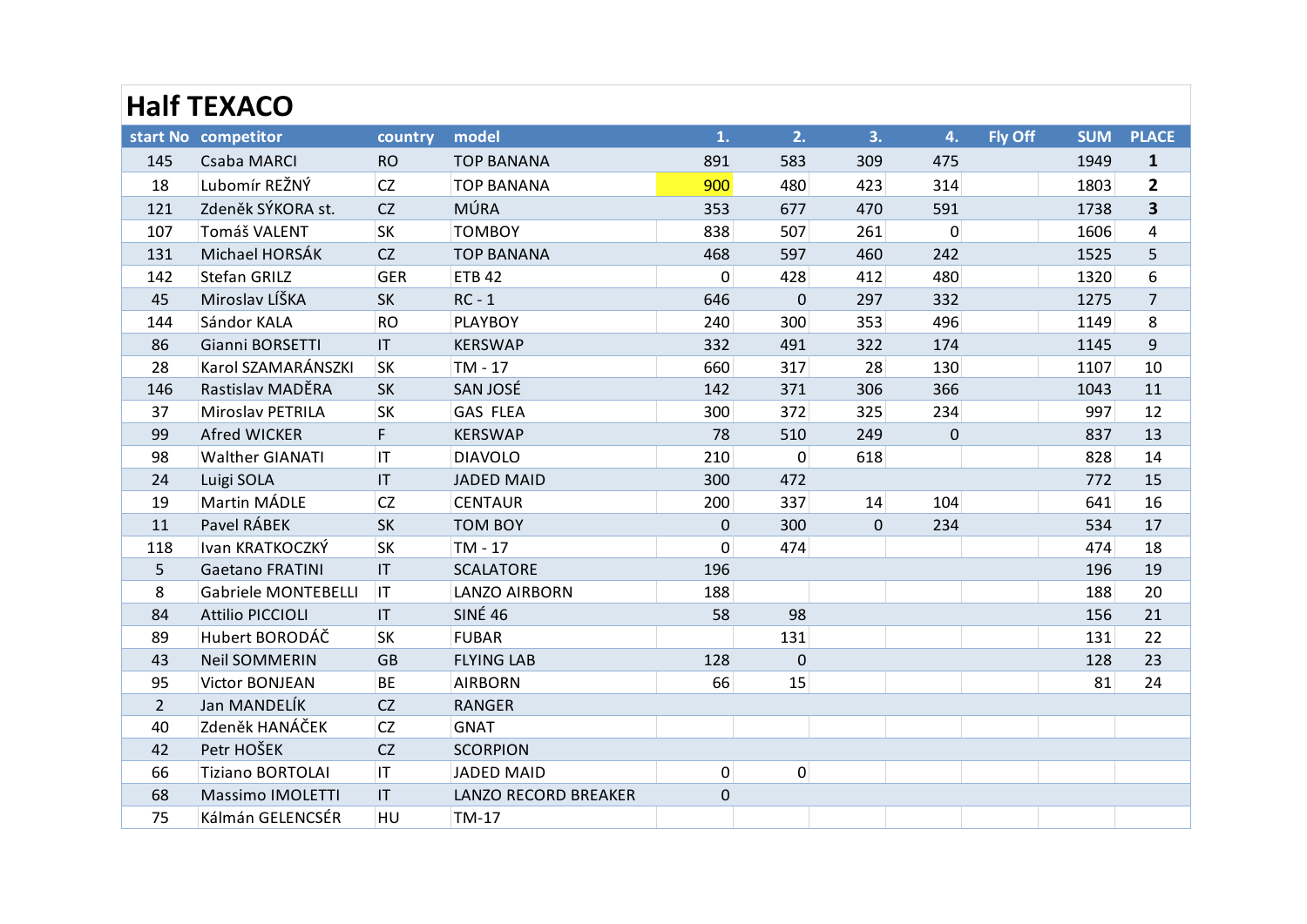|                | <b>Half TEXACO</b>         |                        |                             |                  |                |     |                  |                |            |                         |
|----------------|----------------------------|------------------------|-----------------------------|------------------|----------------|-----|------------------|----------------|------------|-------------------------|
|                | start No competitor        | country                | model                       | 1.               | 2.             | 3.  | 4.               | <b>Fly Off</b> | <b>SUM</b> | <b>PLACE</b>            |
| 145            | Csaba MARCI                | <b>RO</b>              | <b>TOP BANANA</b>           | 891              | 583            | 309 | 475              |                | 1949       | $\mathbf{1}$            |
| 18             | Lubomír REŽNÝ              | CZ                     | <b>TOP BANANA</b>           | 900              | 480            | 423 | 314              |                | 1803       | $\mathbf{2}$            |
| 121            | Zdeněk SÝKORA st.          | CZ                     | <b>MÚRA</b>                 | 353              | 677            | 470 | 591              |                | 1738       | $\overline{\mathbf{3}}$ |
| 107            | Tomáš VALENT               | <b>SK</b>              | <b>TOMBOY</b>               | 838              | 507            | 261 | $\mathbf{0}$     |                | 1606       | 4                       |
| 131            | Michael HORSÁK             | <b>CZ</b>              | <b>TOP BANANA</b>           | 468              | 597            | 460 | 242              |                | 1525       | 5                       |
| 142            | Stefan GRILZ               | <b>GER</b>             | <b>ETB 42</b>               | $\mathbf 0$      | 428            | 412 | 480              |                | 1320       | 6                       |
| 45             | Miroslav LÍŠKA             | SK                     | $RC - 1$                    | 646              | $\mathbf 0$    | 297 | 332              |                | 1275       | $\overline{7}$          |
| 144            | Sándor KALA                | <b>RO</b>              | <b>PLAYBOY</b>              | 240              | 300            | 353 | 496              |                | 1149       | 8                       |
| 86             | Gianni BORSETTI            | $\mathsf{I}\mathsf{T}$ | <b>KERSWAP</b>              | 332              | 491            | 322 | 174              |                | 1145       | $\mathsf g$             |
| 28             | Karol SZAMARÁNSZKI         | <b>SK</b>              | TM - 17                     | 660              | 317            | 28  | 130              |                | 1107       | 10                      |
| 146            | Rastislav MADĚRA           | <b>SK</b>              | SAN JOSÉ                    | 142              | 371            | 306 | 366              |                | 1043       | 11                      |
| 37             | <b>Miroslav PETRILA</b>    | <b>SK</b>              | <b>GAS FLEA</b>             | 300              | 372            | 325 | 234              |                | 997        | 12                      |
| 99             | <b>Afred WICKER</b>        | F                      | <b>KERSWAP</b>              | 78               | 510            | 249 | $\boldsymbol{0}$ |                | 837        | 13                      |
| 98             | <b>Walther GIANATI</b>     | IT                     | <b>DIAVOLO</b>              | 210              | $\overline{0}$ | 618 |                  |                | 828        | 14                      |
| 24             | Luigi SOLA                 | $\mathsf{I}\mathsf{T}$ | <b>JADED MAID</b>           | 300              | 472            |     |                  |                | 772        | 15                      |
| 19             | Martin MÁDLE               | <b>CZ</b>              | <b>CENTAUR</b>              | 200              | 337            | 14  | 104              |                | 641        | 16                      |
| 11             | Pavel RÁBEK                | SK                     | <b>TOM BOY</b>              | $\boldsymbol{0}$ | 300            | 0   | 234              |                | 534        | 17                      |
| 118            | Ivan KRATKOCZKÝ            | <b>SK</b>              | TM - 17                     | $\mathbf 0$      | 474            |     |                  |                | 474        | 18                      |
| 5              | <b>Gaetano FRATINI</b>     | IT                     | <b>SCALATORE</b>            | 196              |                |     |                  |                | 196        | 19                      |
| 8              | <b>Gabriele MONTEBELLI</b> | IT                     | <b>LANZO AIRBORN</b>        | 188              |                |     |                  |                | 188        | 20                      |
| 84             | <b>Attilio PICCIOLI</b>    | IT                     | <b>SINÉ 46</b>              | 58               | 98             |     |                  |                | 156        | 21                      |
| 89             | Hubert BORODÁČ             | <b>SK</b>              | <b>FUBAR</b>                |                  | 131            |     |                  |                | 131        | 22                      |
| 43             | <b>Neil SOMMERIN</b>       | <b>GB</b>              | <b>FLYING LAB</b>           | 128              | $\mathbf 0$    |     |                  |                | 128        | 23                      |
| 95             | <b>Victor BONJEAN</b>      | <b>BE</b>              | <b>AIRBORN</b>              | 66               | 15             |     |                  |                | 81         | 24                      |
| $\overline{2}$ | Jan MANDELÍK               | CZ                     | <b>RANGER</b>               |                  |                |     |                  |                |            |                         |
| 40             | Zdeněk HANÁČEK             | CZ                     | <b>GNAT</b>                 |                  |                |     |                  |                |            |                         |
| 42             | Petr HOŠEK                 | CZ                     | <b>SCORPION</b>             |                  |                |     |                  |                |            |                         |
| 66             | Tiziano BORTOLAI           | 1T                     | <b>JADED MAID</b>           | 0                | $\overline{0}$ |     |                  |                |            |                         |
| 68             | Massimo IMOLETTI           | $\mathsf{I}\mathsf{T}$ | <b>LANZO RECORD BREAKER</b> | $\pmb{0}$        |                |     |                  |                |            |                         |
| 75             | Kálmán GELENCSÉR           | HU                     | TM-17                       |                  |                |     |                  |                |            |                         |
|                |                            |                        |                             |                  |                |     |                  |                |            |                         |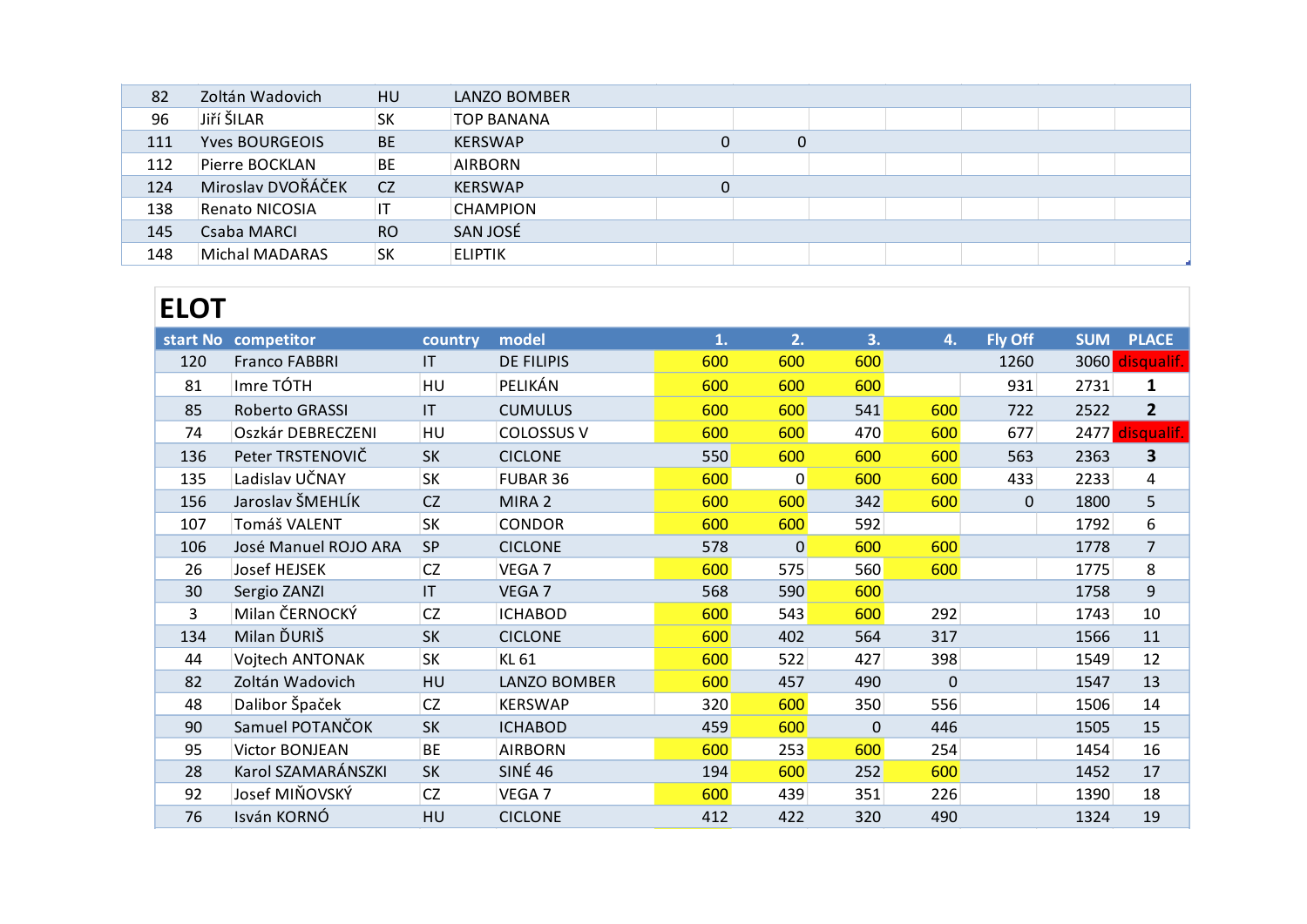# **ELOT**

| 148 |             | Michal MADARAS<br> SK | <b>ELIPTIK</b>         |                   |     |                |     |             |           |            |                         |  |
|-----|-------------|-----------------------|------------------------|-------------------|-----|----------------|-----|-------------|-----------|------------|-------------------------|--|
|     |             |                       |                        |                   |     |                |     |             |           |            |                         |  |
|     | <b>ELOT</b> |                       |                        |                   |     |                |     |             |           |            |                         |  |
|     |             | start No competitor   | country                | model             | 1.  | 2.             | 3.  | 4.          | Fly Off   | <b>SUM</b> | <b>PLACE</b>            |  |
|     | 120         | <b>Franco FABBRI</b>  | IT                     | <b>DE FILIPIS</b> | 600 | 600            | 600 |             | 1260      | 3060       | disqualif.              |  |
|     | 81          | Imre TÓTH             | HU                     | PELIKÁN           | 600 | 600            | 600 |             | 931       | 2731       | $\mathbf{1}$            |  |
|     | 85          | Roberto GRASSI        | $\mathsf{I}\mathsf{T}$ | <b>CUMULUS</b>    | 600 | 600            | 541 | 600         | 722       | 2522       | $\overline{2}$          |  |
|     | 74          | Oszkár DEBRECZENI     | HU                     | <b>COLOSSUS V</b> | 600 | 600            | 470 | 600         | 677       |            | 2477 disqualif.         |  |
|     | 136         | Peter TRSTENOVIČ      | <b>SK</b>              | <b>CICLONE</b>    | 550 | 600            | 600 | 600         | 563       | 2363       | $\overline{\mathbf{3}}$ |  |
|     | 135         | Ladislav UČNAY        | <b>SK</b>              | FUBAR 36          | 600 | $\mathbf 0$    | 600 | 600         | 433       | 2233       | 4                       |  |
|     | 156         | Jaroslav ŠMEHLÍK      | CZ                     | MIRA 2            | 600 | 600            | 342 | 600         | $\pmb{0}$ | 1800       | 5                       |  |
|     | 107         | Tomáš VALENT          | <b>SK</b>              | <b>CONDOR</b>     | 600 | 600            | 592 |             |           | 1792       | 6                       |  |
|     | 106         | José Manuel ROJO ARA  | SP                     | <b>CICLONE</b>    | 578 | $\overline{0}$ | 600 | 600         |           | 1778       | $\overline{7}$          |  |
|     | 26          | Josef HEJSEK          | CZ                     | VEGA 7            | 600 | 575            | 560 | 600         |           | 1775       | 8                       |  |
|     | 30          | Sergio ZANZI          | IT                     | VEGA 7            | 568 | 590            | 600 |             |           | 1758       | $\overline{9}$          |  |
|     | 3           | Milan ČERNOCKÝ        | CZ                     | <b>ICHABOD</b>    | 600 | 543            | 600 | 292         |           | 1743       | 10                      |  |
|     | 134         | Milan ĎURIŠ           | SK                     | <b>CICLONE</b>    | 600 | 402            | 564 | 317         |           | 1566       | $11\,$                  |  |
|     | 44          | Vojtech ANTONAK       | <b>SK</b>              | KL 61             | 600 | 522            | 427 | 398         |           | 1549       | 12                      |  |
|     | 82          | Zoltán Wadovich       | HU                     | LANZO BOMBER      | 600 | 457            | 490 | $\mathbf 0$ |           | 1547       | 13                      |  |
|     | 48          | Dalibor Špaček        | <b>CZ</b>              | <b>KERSWAP</b>    | 320 | 600            | 350 | 556         |           | 1506       | 14                      |  |
|     | 90          | Samuel POTANČOK       | SK                     | <b>ICHABOD</b>    | 459 | 600            | 0   | 446         |           | 1505       | 15                      |  |
|     | 95          | Victor BONJEAN        | <b>BE</b>              | <b>AIRBORN</b>    | 600 | 253            | 600 | 254         |           | 1454       | 16                      |  |
|     | 28          | Karol SZAMARÁNSZKI    | SK                     | <b>SINÉ 46</b>    | 194 | 600            | 252 | 600         |           | 1452       | 17                      |  |
|     | 92          | Josef MIŇOVSKÝ        | CZ                     | VEGA 7            | 600 | 439            | 351 | 226         |           | 1390       | 18                      |  |
|     | 76          | Isván KORNÓ           | HU                     | <b>CICLONE</b>    | 412 | 422            | 320 | 490         |           | 1324       | 19                      |  |
|     |             |                       |                        |                   |     |                |     |             |           |            |                         |  |
|     |             |                       |                        |                   |     |                |     |             |           |            |                         |  |
|     |             |                       |                        |                   |     |                |     |             |           |            |                         |  |
|     |             |                       |                        |                   |     |                |     |             |           |            |                         |  |
|     |             |                       |                        |                   |     |                |     |             |           |            |                         |  |
|     |             |                       |                        |                   |     |                |     |             |           |            |                         |  |
|     |             |                       |                        |                   |     |                |     |             |           |            |                         |  |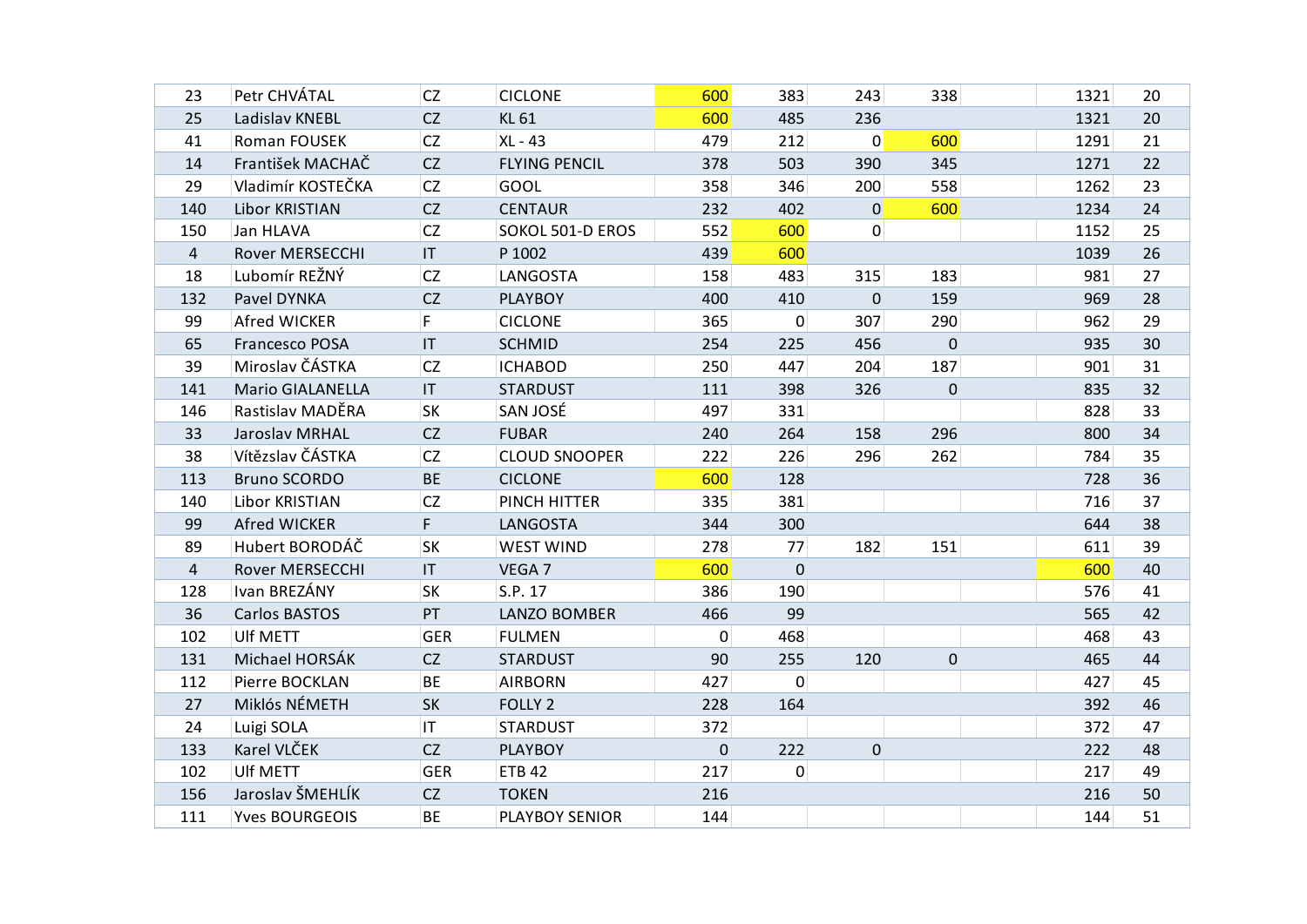| 23             | Petr CHVÁTAL            | <b>CZ</b>              | <b>CICLONE</b>       | 600       | 383          | 243              | 338         | 1321 | 20 |
|----------------|-------------------------|------------------------|----------------------|-----------|--------------|------------------|-------------|------|----|
| 25             | Ladislav KNEBL          | CZ                     | KL 61                | 600       | 485          | 236              |             | 1321 | 20 |
| 41             | Roman FOUSEK            | <b>CZ</b>              | XL - 43              | 479       | 212          | 0                | 600         | 1291 | 21 |
| 14             | František MACHAČ        | CZ                     | <b>FLYING PENCIL</b> | 378       | 503          | 390              | 345         | 1271 | 22 |
| 29             | Vladimír KOSTEČKA       | <b>CZ</b>              | GOOL                 | 358       | 346          | 200              | 558         | 1262 | 23 |
| 140            | Libor KRISTIAN          | CZ                     | <b>CENTAUR</b>       | 232       | 402          | 0                | 600         | 1234 | 24 |
| 150            | Jan HLAVA               | CZ                     | SOKOL 501-D EROS     | 552       | 600          | 0                |             | 1152 | 25 |
| 4              | <b>Rover MERSECCHI</b>  | $\mathsf{I}\mathsf{T}$ | P 1002               | 439       | 600          |                  |             | 1039 | 26 |
| 18             | Lubomír REŽNÝ           | <b>CZ</b>              | LANGOSTA             | 158       | 483          | 315              | 183         | 981  | 27 |
| 132            | Pavel DYNKA             | <b>CZ</b>              | <b>PLAYBOY</b>       | 400       | 410          | 0                | 159         | 969  | 28 |
| 99             | Afred WICKER            | F                      | <b>CICLONE</b>       | 365       | $\mathbf 0$  | 307              | 290         | 962  | 29 |
| 65             | Francesco POSA          | $\mathsf{I}\mathsf{T}$ | <b>SCHMID</b>        | 254       | 225          | 456              | $\mathbf 0$ | 935  | 30 |
| 39             | Miroslav ČÁSTKA         | CZ                     | <b>ICHABOD</b>       | 250       | 447          | 204              | 187         | 901  | 31 |
| 141            | <b>Mario GIALANELLA</b> | IT                     | <b>STARDUST</b>      | 111       | 398          | 326              | 0           | 835  | 32 |
| 146            | Rastislav MADĚRA        | SK                     | SAN JOSÉ             | 497       | 331          |                  |             | 828  | 33 |
| 33             | Jaroslav MRHAL          | CZ                     | <b>FUBAR</b>         | 240       | 264          | 158              | 296         | 800  | 34 |
| 38             | Vítězslav ČÁSTKA        | <b>CZ</b>              | <b>CLOUD SNOOPER</b> | 222       | 226          | 296              | 262         | 784  | 35 |
| 113            | <b>Bruno SCORDO</b>     | BE                     | <b>CICLONE</b>       | 600       | 128          |                  |             | 728  | 36 |
| 140            | Libor KRISTIAN          | <b>CZ</b>              | PINCH HITTER         | 335       | 381          |                  |             | 716  | 37 |
| 99             | Afred WICKER            | F.                     | <b>LANGOSTA</b>      | 344       | 300          |                  |             | 644  | 38 |
| 89             | Hubert BORODÁČ          | SK                     | <b>WEST WIND</b>     | 278       | 77           | 182              | 151         | 611  | 39 |
| $\overline{4}$ | Rover MERSECCHI         | $\mathsf{I}\mathsf{T}$ | VEGA 7               | 600       | $\mathbf 0$  |                  |             | 600  | 40 |
| 128            | Ivan BREZÁNY            | <b>SK</b>              | S.P. 17              | 386       | 190          |                  |             | 576  | 41 |
| 36             | Carlos BASTOS           | PT                     | <b>LANZO BOMBER</b>  | 466       | 99           |                  |             | 565  | 42 |
| 102            | Ulf METT                | <b>GER</b>             | <b>FULMEN</b>        | 0         | 468          |                  |             | 468  | 43 |
| 131            | Michael HORSÁK          | CZ                     | <b>STARDUST</b>      | 90        | 255          | 120              | $\mathbf 0$ | 465  | 44 |
| 112            | Pierre BOCKLAN          | <b>BE</b>              | <b>AIRBORN</b>       | 427       | $\mathbf 0$  |                  |             | 427  | 45 |
| 27             | Miklós NÉMETH           | SK                     | FOLLY <sub>2</sub>   | 228       | 164          |                  |             | 392  | 46 |
| 24             | Luigi SOLA              | IT.                    | <b>STARDUST</b>      | 372       |              |                  |             | 372  | 47 |
| 133            | Karel VLČEK             | CZ                     | <b>PLAYBOY</b>       | $\pmb{0}$ | 222          | $\boldsymbol{0}$ |             | 222  | 48 |
| 102            | Ulf METT                | <b>GER</b>             | <b>ETB 42</b>        | 217       | $\mathbf{0}$ |                  |             | 217  | 49 |
| 156            | Jaroslav ŠMEHLÍK        | CZ                     | <b>TOKEN</b>         | 216       |              |                  |             | 216  | 50 |
| 111            | <b>Yves BOURGEOIS</b>   | BE                     | PLAYBOY SENIOR       | 144       |              |                  |             | 144  | 51 |
|                |                         |                        |                      |           |              |                  |             |      |    |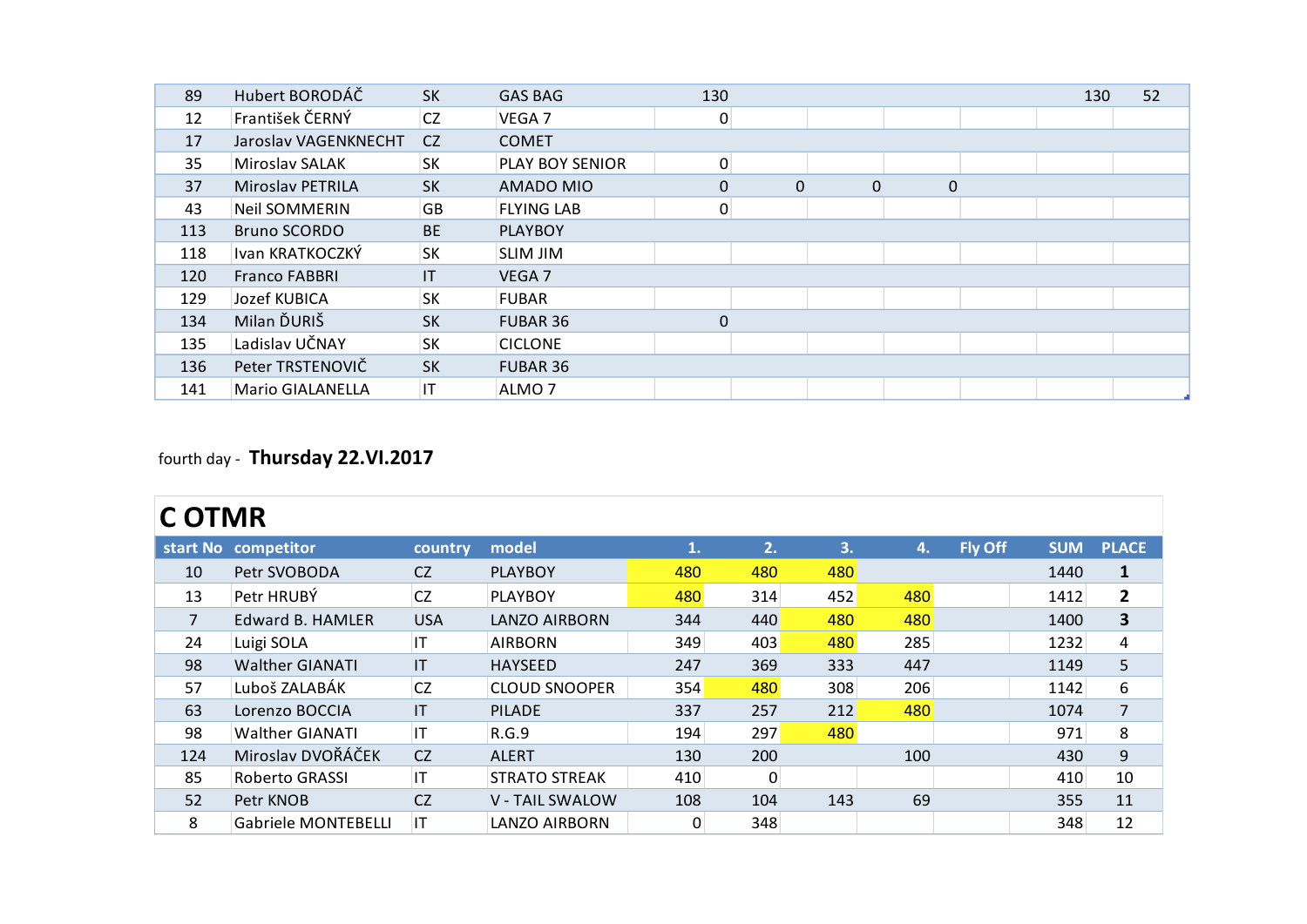| 89  | Hubert BORODÁČ          | <b>SK</b>              | <b>GAS BAG</b>    | 130            |             |                  |             | 130 | 52 |
|-----|-------------------------|------------------------|-------------------|----------------|-------------|------------------|-------------|-----|----|
| 12  | František ČERNÝ         | CZ                     | VEGA 7            | $\pmb{0}$      |             |                  |             |     |    |
| 17  | Jaroslav VAGENKNECHT    | CZ                     | <b>COMET</b>      |                |             |                  |             |     |    |
| 35  | Miroslav SALAK          | <b>SK</b>              | PLAY BOY SENIOR   | $\overline{0}$ |             |                  |             |     |    |
| 37  | Miroslav PETRILA        | <b>SK</b>              | AMADO MIO         | $\mathbf 0$    | $\mathbf 0$ | $\boldsymbol{0}$ | $\mathbf 0$ |     |    |
| 43  | <b>Neil SOMMERIN</b>    | <b>GB</b>              | <b>FLYING LAB</b> | $\pmb{0}$      |             |                  |             |     |    |
| 113 | <b>Bruno SCORDO</b>     | <b>BE</b>              | <b>PLAYBOY</b>    |                |             |                  |             |     |    |
| 118 | Ivan KRATKOCZKÝ         | <b>SK</b>              | <b>SLIM JIM</b>   |                |             |                  |             |     |    |
| 120 | <b>Franco FABBRI</b>    | $\mathsf{I}\mathsf{T}$ | VEGA 7            |                |             |                  |             |     |    |
| 129 | Jozef KUBICA            | <b>SK</b>              | <b>FUBAR</b>      |                |             |                  |             |     |    |
| 134 | Milan ĎURIŠ             | <b>SK</b>              | FUBAR 36          | 0              |             |                  |             |     |    |
| 135 | Ladislav UČNAY          | <b>SK</b>              | <b>CICLONE</b>    |                |             |                  |             |     |    |
| 136 | Peter TRSTENOVIČ        | <b>SK</b>              | FUBAR 36          |                |             |                  |             |     |    |
| 141 | <b>Mario GIALANELLA</b> | IT                     | ALMO <sub>7</sub> |                |             |                  |             |     |    |
|     |                         |                        |                   |                |             |                  |             |     |    |
|     |                         |                        |                   |                |             |                  |             |     |    |

### fourth day - **Thursday 22.VI.2017**

|                | <b>COTMR</b>               |              |                      |                 |          |     |     |         |            |                |  |  |  |
|----------------|----------------------------|--------------|----------------------|-----------------|----------|-----|-----|---------|------------|----------------|--|--|--|
|                | start No competitor        | country      | model                | 1.              | 2.       | 3.  | 4.  | Fly Off | <b>SUM</b> | <b>PLACE</b>   |  |  |  |
| 10             | Petr SVOBODA               | <b>CZ</b>    | <b>PLAYBOY</b>       | 480             | 480      | 480 |     |         | 1440       | $\mathbf{1}$   |  |  |  |
| 13             | Petr HRUBÝ                 | <b>CZ</b>    | <b>PLAYBOY</b>       | 480             | 314      | 452 | 480 |         | 1412       | $\mathbf{2}$   |  |  |  |
| $\overline{7}$ | <b>Edward B. HAMLER</b>    | <b>USA</b>   | LANZO AIRBORN        | 344             | 440      | 480 | 480 |         | 1400       | 3              |  |  |  |
| 24             | Luigi SOLA                 | IT           | <b>AIRBORN</b>       | 349             | 403      | 480 | 285 |         | 1232       | 4              |  |  |  |
| 98             | <b>Walther GIANATI</b>     | $\mathsf{I}$ | <b>HAYSEED</b>       | 247             | 369      | 333 | 447 |         | 1149       | 5              |  |  |  |
| 57             | Luboš ZALABÁK              | <b>CZ</b>    | <b>CLOUD SNOOPER</b> | 354             | 480      | 308 | 206 |         | 1142       | 6              |  |  |  |
| 63             | Lorenzo BOCCIA             | IT           | <b>PILADE</b>        | 337             | 257      | 212 | 480 |         | 1074       | $\overline{7}$ |  |  |  |
| 98             | <b>Walther GIANATI</b>     | IT.          | R.G.9                | 194             | 297      | 480 |     |         | 971        | 8              |  |  |  |
| 124            | Miroslav DVOŘÁČEK          | <b>CZ</b>    | <b>ALERT</b>         | 130             | 200      |     | 100 |         | 430        | 9              |  |  |  |
| 85             | Roberto GRASSI             | IT           | <b>STRATO STREAK</b> | 410             | $\Omega$ |     |     |         | 410        | 10             |  |  |  |
| 52             | Petr KNOB                  | <b>CZ</b>    | V - TAIL SWALOW      | 108             | 104      | 143 | 69  |         | 355        | 11             |  |  |  |
| 8              | <b>Gabriele MONTEBELLI</b> | IT           | LANZO AIRBORN        | $\vert 0 \vert$ | 348      |     |     |         | 348        | 12             |  |  |  |
|                |                            |              |                      |                 |          |     |     |         |            |                |  |  |  |
|                |                            |              |                      |                 |          |     |     |         |            |                |  |  |  |
|                |                            |              |                      |                 |          |     |     |         |            |                |  |  |  |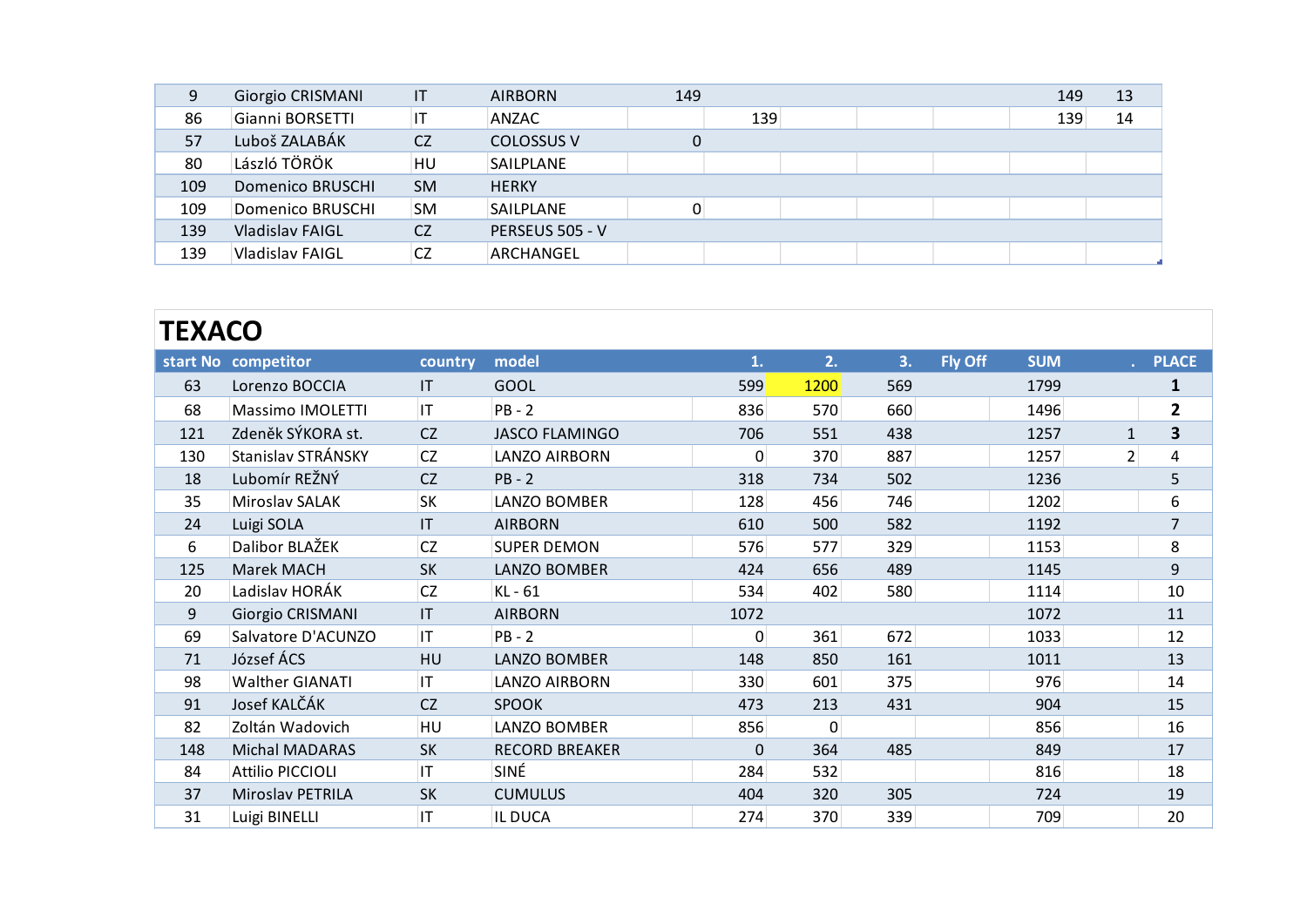| 9   | Giorgio CRISMANI        | $\mathsf{I}\mathsf{T}$ | <b>AIRBORN</b>    | 149 |     |  | 149 | 13 |
|-----|-------------------------|------------------------|-------------------|-----|-----|--|-----|----|
| 86  | Gianni BORSETTI         | IT                     | ANZAC             |     | 139 |  | 139 | 14 |
| 57  | Luboš ZALABÁK           | CZ                     | <b>COLOSSUS V</b> | 0   |     |  |     |    |
| 80  | László TÖRÖK            | HU                     | <b>SAILPLANE</b>  |     |     |  |     |    |
| 109 | <b>Domenico BRUSCHI</b> | <b>SM</b>              | <b>HERKY</b>      |     |     |  |     |    |
| 109 | Domenico BRUSCHI        | <b>SM</b>              | SAILPLANE         | 0   |     |  |     |    |
| 139 | <b>Vladislav FAIGL</b>  | <b>CZ</b>              | PERSEUS 505 - V   |     |     |  |     |    |
| 139 | Vladislav FAIGL         | <b>CZ</b>              | ARCHANGEL         |     |     |  |     |    |

#### **start No competitor country model 1. 2. 3. Fly Off SUM . PLACE EXACO**<br>
EXACO<br>
FRIEND CONTROL CONTROL CONTROL CONTROL CONTROL CONTROL CONTROL CONTROL CONTROL CONTROL CONTROL CONTROL CONTROL CONTROL CONTROL CONTROL CONTROL CONTROL CONTROL CONTROL CONTROL CONTROL CONTROL CONTROL CONTROL **EXACO**<br>
Fried Competitor Country model and the same of the same of the same of the same of the same of the same of the same of the same of the same of the same of the same of the same of the same of the same of the same o 121 Zdeněk SÝKORA st. C Z JASCO FLAMINGO<br>
121 Zdeněk SÝKORA st. C Z JASCO FLAMINGO<br>
121 Zdeněk SÝKORA st. C Z JASCO FLAMINGO<br>
121 Zdeněk SÝKORA st. C Z JASCO FLAMINGO<br>
121 Zdeněk SÝKORA st. C Z JASCO FLAMINGO<br>
121 Stanisla 130 Stanislav STRÁNSKY CZ PB-2 318 734 502 1236 5 1318 Microslav SALAK SK LANZO BOMBER 129 138 138 734 502 1236 5 135 Microslav SALAK SK LANZO BOMBER 129 138 138 734 502 1236 5 135 Microslav SALAK SK LANZO BOMBER 129 138 1 18 Lubomír REŽNÝ CZ PB - 2 318 734 502 1236 5<br>
Massimo IMOLETTI IT PB - 2 836 570 660 1496 2<br>
18 Lubomír REŽNÝ CZ LANZO AIRBORN 0 370 887 1257 1 3<br>
18 Lubomír REŽNÝ CZ PB - 2 318 734 502 1236 5<br>
Miroslav SALAK SK LANZO BOM 35 Miroslav SALAK SK LANZO BOMBER 128 456 746 1202 6 221 Zdeněk SÝKORA st. CZ JASCO FLAMINGO 706 551 438 1257 1 33<br>230 Stanislav STRÁNSKY CZ LANZO AIRBORN 0 370 887 1257 2 4<br>24 Lubomír REŽNÝ CZ PB - 2 318 734 502 1236 5<br>24 Luigi SOLA IT AIRBORN 610 500 582 1192 7<br>24 Luigi SO 21 Zdenek SYRORA St. CZ JASCO FLAMINGO 706 551 438 1257 1 33<br>
30 Stanislav STRÁNSKY CZ LANZO AIRBORN 0 370 887 1257 2 4<br>
18 Lubomír REŽNÝ CZ PB - 2 318 734 502 1236 5<br>
Miroslav SALAK SK LANZO BOMBER 128 456 746 1202 6<br>
45 125 Marek MACH SK LANZO BOMBER 424 656 489 1145 9 21 236 21236 21236 21236 21236 21236 21236 21236 21236 21236 21236 21236 21236 21236 21236 21236 21236 21236 21<br>24 Luigi SOLA IT AIRBORN 2128 456 746 1202 6<br>24 Luigi SOLA IT AIRBORN 2128 456 746 1202 7<br>20 Dalibor BLAŽEK CZ 9 Giorgio CRISMANI IT AIRBORN 1072 1072 11<br>
9 Giorgio CRISMANI IT AIRBORN 1072 1072 11<br>
9 Giorgio CRISMANI IT AIRBORN 1072 1072 1072 11<br>
9 Giorgio CRISMANI IT AIRBORN 1072 1072 1072 11<br>
9 Giorgio CRISMANI IT AIRBORN 1072 1 24 Luigi SOLA 11 AIRBORN 610 500 582 1192 /<br>
6 Dalibor BLAŽEK CZ SUPER DEMON 576 577 329 1153 8<br>
125 Marek MACH SK LANZO BOMBER 424 656 489 1145 9<br>
125 Marek MACH SK LANZO BOMBER 424 656 489 1145 9<br>
1314 10<br>
69 Giorgio CRI 133 Marek MACH SK LANZO BOMBER 424 656 489 1153 8<br>20 Ladislav HORÁK CZ KL - 61 534 402 580 1114 10<br>9 Giorgio CRISMANI IT AIRBORN 1072 1072 11<br>534 402 580 1114 10<br>69 Salvatore D'ACUNZO IT PB - 2 0 361 672 1033 12<br>71 József 20 Ladislav HORÁK CZ KL - 61 334 402 580 1114 10<br>
9 Giorgio CRISMANI IT AIRBORN 1072 1072 11<br>
9 Giorgio CRISMANI IT AIRBORN 1072 1072 11<br>
534 402 580 1114 10<br>
9 Giorgio CRISMANI IT AIRBORN 1072 1072 11<br>
534 402 580 1114 10 20 LAGISIAV HORAK CZ KL-61 534 402 580 1114 10<br>
9 Giorgio CRISMANI IT AIRBORN 1072 11<br>
59 Salvatore D'ACUNZO IT PB - 2 0 361 672 1033 12<br>
71 József ÁCS HU LANZO BOMBER 148 850 161 1011 13<br>
93 Walther GIANATI IT LANZO AIRBO 82 Siorgio CRISMANI II AIRBORN 1072 11<br>
83 Notatore D'ACUNZO IT PB - 2 0 361 672 1033 12<br>
82 Notather GIANATI IT LANZO AIRBORN 330 601 375 976 14<br>
83 Notather GIANATI IT LANZO AIRBORN 330 601 375 976 14<br>
82 Zoltán Wadovich 148 Michal MADARAS SK RECORD BREAKER 0 364 485 849 17 18 Attilio PICCIOLI IT SINÉ 284 532 816 18<br>
33 Attilio PICCIOLI IT SINÉ 284 532 816 18<br>
34 Attilio PICCIOLI IT SINÉ 284 532 816 18<br>
37 Miroslav PETRILA SK CUMULUS 404 320 305 724 19<br>
37 Miroslav PETRILA SK CUMULUS 404 320 37 Miroslav PETRILA SK CUMULUS 404 320 305 724 19 91 Josef KALCAK CZ SPOOK 473 213 431 904 15<br>
82 Zoltán Wadovich HU LANZO BOMBER 856 0<br>
148 Michal MADARAS SK RECORD BREAKER 0 364 485 849 17<br>
84 Attilio PICCIOLI IT SINÉ 284 532 816 18<br>
37 Miroslav PETRILA SK CUMULUS 404 3 148 Michail MADARAS SK RECORD BREAKER 0 364 485 849 17<br>
84 Attilio PICCIOLI IT SINÉ 284 532 816 18<br>
724 19 Miroslav PETRILA SK CUMULUS 404 320 305 724 19<br>
729 Luigi BINELLI IT IL DUCA 274 370 339 709 20 84 Attilio PICCIOLI II SINE 284 532<br>37 Miroslav PETRILA SK CUMULUS 404 320 305 724 19<br>31 Luigi BINELLI IT ILDUCA 274 370 339 709 20 17 Miroslav PETRILA SK CUMULUS<br>17 Luigi BINELLI | IT |IL DUCA  $\frac{31}{100}$  Luigi BINELLI  $\frac{11}{100}$  TL DUCA 274 **TEXACO**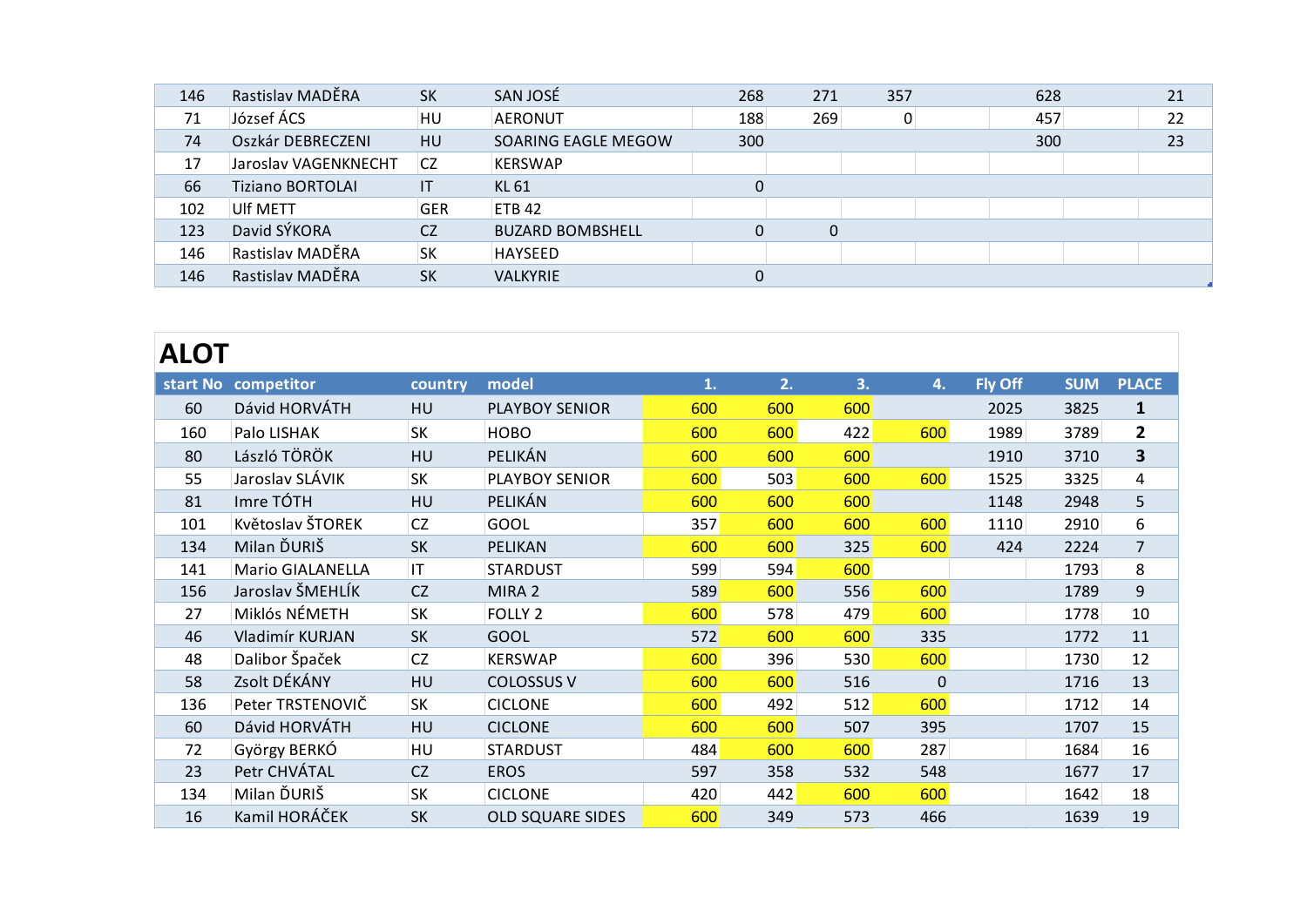| 146 | Rastislav MADĚRA        | <b>SK</b>  | SAN JOSÉ                | 268              | 271         | 357            | 628 | 21 |
|-----|-------------------------|------------|-------------------------|------------------|-------------|----------------|-----|----|
| 71  | József ÁCS              | <b>HU</b>  | AERONUT                 | 188              | 269         | $\overline{0}$ | 457 | 22 |
| 74  | Oszkár DEBRECZENI       | HU         | SOARING EAGLE MEGOW     | 300              |             |                | 300 | 23 |
| 17  | Jaroslav VAGENKNECHT    | <b>CZ</b>  | <b>KERSWAP</b>          |                  |             |                |     |    |
| 66  | <b>Tiziano BORTOLAI</b> | IT         | <b>KL 61</b>            | $\boldsymbol{0}$ |             |                |     |    |
| 102 | Ulf METT                | <b>GER</b> | <b>ETB 42</b>           |                  |             |                |     |    |
| 123 | David SÝKORA            | <b>CZ</b>  | <b>BUZARD BOMBSHELL</b> | $\mathbf 0$      | $\mathbf 0$ |                |     |    |
| 146 | Rastislav MADĚRA        | <b>SK</b>  | <b>HAYSEED</b>          |                  |             |                |     |    |
| 146 | Rastislav MADĚRA        | <b>SK</b>  | <b>VALKYRIE</b>         | $\mathbf 0$      |             |                |     |    |

# **ALOT**

| <b>ALOT</b> | start No competitor     | country   | model                   | 1.  | 2.  | 3.  | 4.          | Fly Off | <b>SUM</b> | <b>PLACE</b>            |
|-------------|-------------------------|-----------|-------------------------|-----|-----|-----|-------------|---------|------------|-------------------------|
| 60          | Dávid HORVÁTH           | <b>HU</b> | <b>PLAYBOY SENIOR</b>   | 600 | 600 | 600 |             | 2025    | 3825       | $\mathbf{1}$            |
| 160         | Palo LISHAK             | <b>SK</b> | <b>HOBO</b>             | 600 | 600 | 422 | 600         | 1989    | 3789       | $\mathbf{2}$            |
| 80          | László TÖRÖK            | HU        | PELIKÁN                 | 600 | 600 | 600 |             | 1910    | 3710       | $\overline{\mathbf{3}}$ |
| 55          | Jaroslav SLÁVIK         | <b>SK</b> | PLAYBOY SENIOR          | 600 | 503 | 600 | 600         | 1525    | 3325       | 4                       |
| 81          | Imre TÓTH               | HU        | PELIKÁN                 | 600 | 600 | 600 |             | 1148    | 2948       | 5                       |
| 101         | Květoslav ŠTOREK        | CZ        | GOOL                    | 357 | 600 | 600 | 600         | 1110    | 2910       | 6                       |
| 134         | Milan ĎURIŠ             | <b>SK</b> | PELIKAN                 | 600 | 600 | 325 | 600         | 424     | 2224       | $\overline{7}$          |
| 141         | <b>Mario GIALANELLA</b> | IT        | <b>STARDUST</b>         | 599 | 594 | 600 |             |         | 1793       | 8                       |
| 156         | Jaroslav ŠMEHLÍK        | <b>CZ</b> | MIRA <sub>2</sub>       | 589 | 600 | 556 | 600         |         | 1789       | 9                       |
| 27          | Miklós NÉMETH           | <b>SK</b> | <b>FOLLY 2</b>          | 600 | 578 | 479 | 600         |         | 1778       | 10                      |
| 46          | Vladimír KURJAN         | <b>SK</b> | <b>GOOL</b>             | 572 | 600 | 600 | 335         |         | 1772       | 11                      |
| 48          | Dalibor Špaček          | <b>CZ</b> | <b>KERSWAP</b>          | 600 | 396 | 530 | 600         |         | 1730       | 12                      |
| 58          | Zsolt DÉKÁNY            | HU        | <b>COLOSSUS V</b>       | 600 | 600 | 516 | $\mathbf 0$ |         | 1716       | 13                      |
| 136         | Peter TRSTENOVIČ        | <b>SK</b> | <b>CICLONE</b>          | 600 | 492 | 512 | 600         |         | 1712       | 14                      |
| 60          | Dávid HORVÁTH           | HU        | <b>CICLONE</b>          | 600 | 600 | 507 | 395         |         | 1707       | 15                      |
| 72          | György BERKÓ            | HU        | <b>STARDUST</b>         | 484 | 600 | 600 | 287         |         | 1684       | 16                      |
| 23          | Petr CHVÁTAL            | CZ        | <b>EROS</b>             | 597 | 358 | 532 | 548         |         | 1677       | 17                      |
| 134         | Milan ĎURIŠ             | <b>SK</b> | <b>CICLONE</b>          | 420 | 442 | 600 | 600         |         | 1642       | 18                      |
| 16          | Kamil HORÁČEK           | <b>SK</b> | <b>OLD SQUARE SIDES</b> | 600 | 349 | 573 | 466         |         | 1639       | 19                      |
|             |                         |           |                         |     |     |     |             |         |            |                         |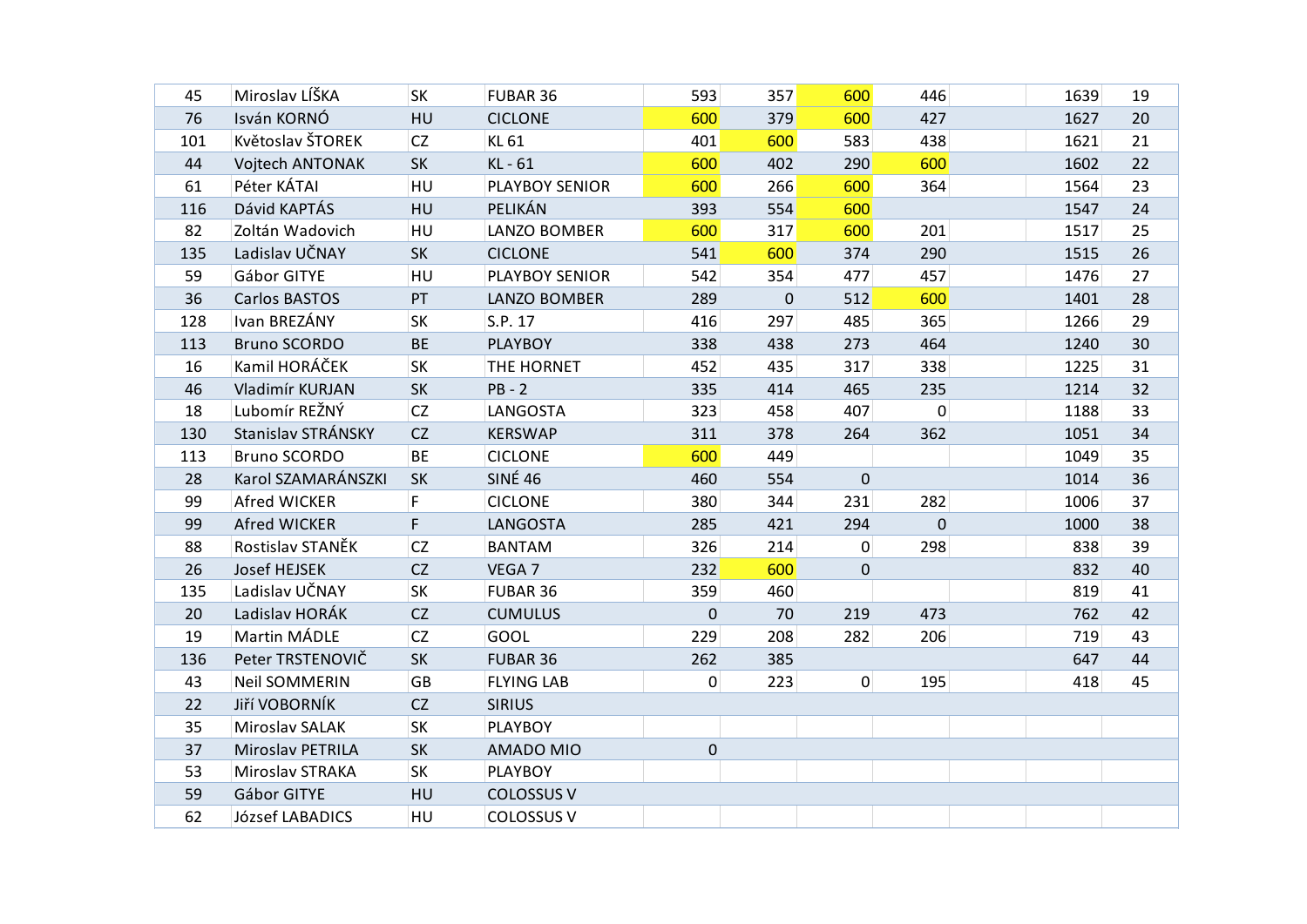| 45  | Miroslav LÍŠKA       | SK        | FUBAR 36              | 593         | 357         | 600         | 446         | 1639 | 19 |
|-----|----------------------|-----------|-----------------------|-------------|-------------|-------------|-------------|------|----|
| 76  | Isván KORNÓ          | HU        | <b>CICLONE</b>        | 600         | 379         | 600         | 427         | 1627 | 20 |
| 101 | Květoslav ŠTOREK     | <b>CZ</b> | KL 61                 | 401         | 600         | 583         | 438         | 1621 | 21 |
| 44  | Vojtech ANTONAK      | <b>SK</b> | KL - 61               | 600         | 402         | 290         | 600         | 1602 | 22 |
| 61  | Péter KÁTAI          | HU        | <b>PLAYBOY SENIOR</b> | 600         | 266         | 600         | 364         | 1564 | 23 |
| 116 | Dávid KAPTÁS         | HU        | PELIKÁN               | 393         | 554         | 600         |             | 1547 | 24 |
| 82  | Zoltán Wadovich      | HU        | LANZO BOMBER          | 600         | 317         | 600         | 201         | 1517 | 25 |
| 135 | Ladislav UČNAY       | <b>SK</b> | <b>CICLONE</b>        | 541         | 600         | 374         | 290         | 1515 | 26 |
| 59  | Gábor GITYE          | HU        | PLAYBOY SENIOR        | 542         | 354         | 477         | 457         | 1476 | 27 |
| 36  | Carlos BASTOS        | PT        | LANZO BOMBER          | 289         | $\mathbf 0$ | 512         | 600         | 1401 | 28 |
| 128 | Ivan BREZÁNY         | SK        | S.P. 17               | 416         | 297         | 485         | 365         | 1266 | 29 |
| 113 | <b>Bruno SCORDO</b>  | <b>BE</b> | <b>PLAYBOY</b>        | 338         | 438         | 273         | 464         | 1240 | 30 |
| 16  | Kamil HORÁČEK        | SK        | THE HORNET            | 452         | 435         | 317         | 338         | 1225 | 31 |
| 46  | Vladimír KURJAN      | SK        | $PB - 2$              | 335         | 414         | 465         | 235         | 1214 | 32 |
| 18  | Lubomír REŽNÝ        | CZ        | LANGOSTA              | 323         | 458         | 407         | 0           | 1188 | 33 |
| 130 | Stanislav STRÁNSKY   | CZ        | <b>KERSWAP</b>        | 311         | 378         | 264         | 362         | 1051 | 34 |
| 113 | <b>Bruno SCORDO</b>  | <b>BE</b> | <b>CICLONE</b>        | 600         | 449         |             |             | 1049 | 35 |
| 28  | Karol SZAMARÁNSZKI   | <b>SK</b> | <b>SINÉ 46</b>        | 460         | 554         | $\mathbf 0$ |             | 1014 | 36 |
| 99  | Afred WICKER         | F         | <b>CICLONE</b>        | 380         | 344         | 231         | 282         | 1006 | 37 |
| 99  | Afred WICKER         | F.        | <b>LANGOSTA</b>       | 285         | 421         | 294         | $\mathbf 0$ | 1000 | 38 |
| 88  | Rostislav STANĚK     | CZ        | <b>BANTAM</b>         | 326         | 214         | 0           | 298         | 838  | 39 |
| 26  | <b>Josef HEJSEK</b>  | CZ        | VEGA 7                | 232         | 600         | 0           |             | 832  | 40 |
| 135 | Ladislav UČNAY       | SK        | FUBAR 36              | 359         | 460         |             |             | 819  | 41 |
| 20  | Ladislav HORÁK       | CZ        | <b>CUMULUS</b>        | $\mathbf 0$ | 70          | 219         | 473         | 762  | 42 |
| 19  | Martin MÁDLE         | <b>CZ</b> | GOOL                  | 229         | 208         | 282         | 206         | 719  | 43 |
| 136 | Peter TRSTENOVIČ     | SK        | FUBAR 36              | 262         | 385         |             |             | 647  | 44 |
| 43  | <b>Neil SOMMERIN</b> | GB        | <b>FLYING LAB</b>     | 0           | 223         | 0           | 195         | 418  | 45 |
| 22  | Jiří VOBORNÍK        | CZ        | <b>SIRIUS</b>         |             |             |             |             |      |    |
| 35  | Miroslav SALAK       | SK        | <b>PLAYBOY</b>        |             |             |             |             |      |    |
| 37  | Miroslav PETRILA     | <b>SK</b> | AMADO MIO             | $\pmb{0}$   |             |             |             |      |    |
| 53  | Miroslav STRAKA      | SK        | <b>PLAYBOY</b>        |             |             |             |             |      |    |
| 59  | Gábor GITYE          | HU        | <b>COLOSSUS V</b>     |             |             |             |             |      |    |
| 62  | József LABADICS      | HU        | <b>COLOSSUS V</b>     |             |             |             |             |      |    |
|     |                      |           |                       |             |             |             |             |      |    |